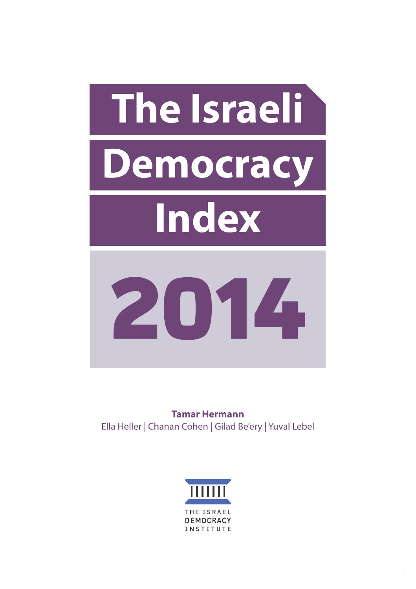

**Tamar Hermann** Ella Heller | Chanan Cohen | Gilad Be'ery | Yuval Lebel

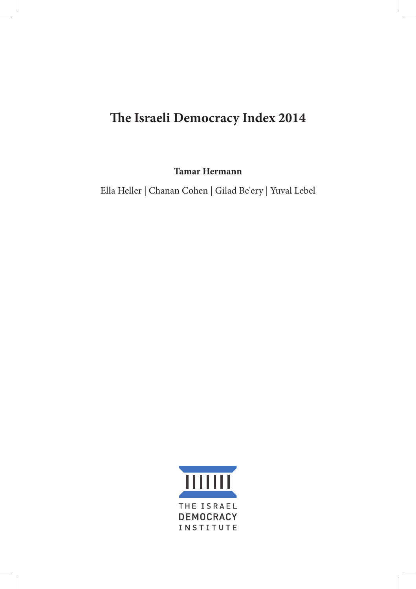# **The Israeli Democracy Index 2014**

**Tamar Hermann**

Ella Heller | Chanan Cohen | Gilad Be'ery | Yuval Lebel

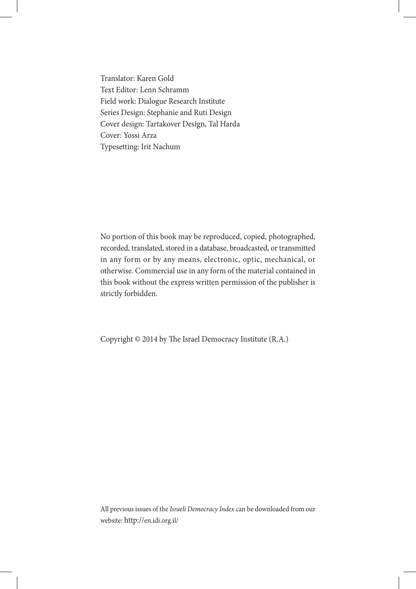Translator: Karen Gold Text Editor: Lenn Schramm Field work: Dialogue Research Institute Series Design: Stephanie and Ruti Design Cover design: Tartakover Design, Tal Harda Cover: Yossi Arza Typesetting: Irit Nachum

No portion of this book may be reproduced, copied, photographed, recorded, translated, stored in a database, broadcasted, or transmitted in any form or by any means, electronic, optic, mechanical, or otherwise. Commercial use in any form of the material contained in this book without the express written permission of the publisher is strictly forbidden.

Copyright © 2014 by The Israel Democracy Institute (R.A.)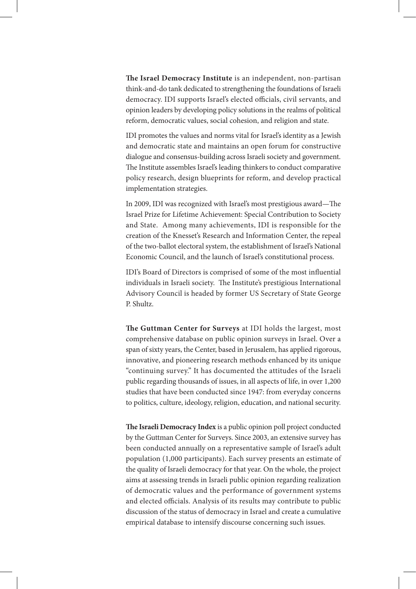**The Israel Democracy Institute** is an independent, non-partisan think-and-do tank dedicated to strengthening the foundations of Israeli democracy. IDI supports Israel's elected officials, civil servants, and opinion leaders by developing policy solutions in the realms of political reform, democratic values, social cohesion, and religion and state.

IDI promotes the values and norms vital for Israel's identity as a Jewish and democratic state and maintains an open forum for constructive dialogue and consensus-building across Israeli society and government. The Institute assembles Israel's leading thinkers to conduct comparative policy research, design blueprints for reform, and develop practical implementation strategies.

In 2009, IDI was recognized with Israel's most prestigious award—The Israel Prize for Lifetime Achievement: Special Contribution to Society and State. Among many achievements, IDI is responsible for the creation of the Knesset's Research and Information Center, the repeal of the two-ballot electoral system, the establishment of Israel's National Economic Council, and the launch of Israel's constitutional process.

IDI's Board of Directors is comprised of some of the most influential individuals in Israeli society. The Institute's prestigious International Advisory Council is headed by former US Secretary of State George P. Shultz.

**The Guttman Center for Surveys** at IDI holds the largest, most comprehensive database on public opinion surveys in Israel. Over a span of sixty years, the Center, based in Jerusalem, has applied rigorous, innovative, and pioneering research methods enhanced by its unique "continuing survey." It has documented the attitudes of the Israeli public regarding thousands of issues, in all aspects of life, in over 1,200 studies that have been conducted since 1947: from everyday concerns to politics, culture, ideology, religion, education, and national security.

**The Israeli Democracy Index** is a public opinion poll project conducted by the Guttman Center for Surveys. Since 2003, an extensive survey has been conducted annually on a representative sample of Israel's adult population (1,000 participants). Each survey presents an estimate of the quality of Israeli democracy for that year. On the whole, the project aims at assessing trends in Israeli public opinion regarding realization of democratic values and the performance of government systems and elected officials. Analysis of its results may contribute to public discussion of the status of democracy in Israel and create a cumulative empirical database to intensify discourse concerning such issues.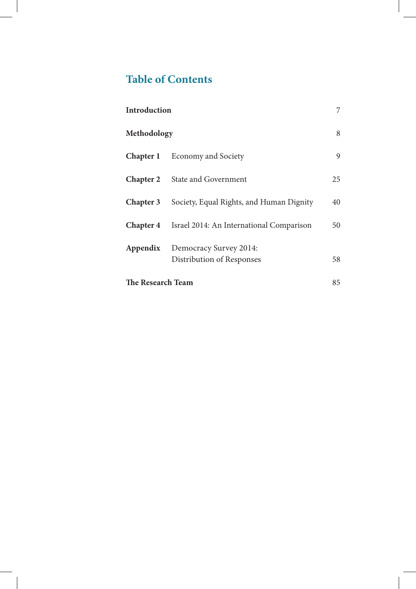# **Table of Contents**

| <b>Introduction</b> |                                                     | 7  |
|---------------------|-----------------------------------------------------|----|
| Methodology         |                                                     | 8  |
| Chapter 1           | <b>Economy and Society</b>                          | 9  |
| <b>Chapter 2</b>    | State and Government                                | 25 |
| <b>Chapter 3</b>    | Society, Equal Rights, and Human Dignity            | 40 |
| <b>Chapter 4</b>    | Israel 2014: An International Comparison            | 50 |
| Appendix            | Democracy Survey 2014:<br>Distribution of Responses | 58 |
| The Research Team   |                                                     | 85 |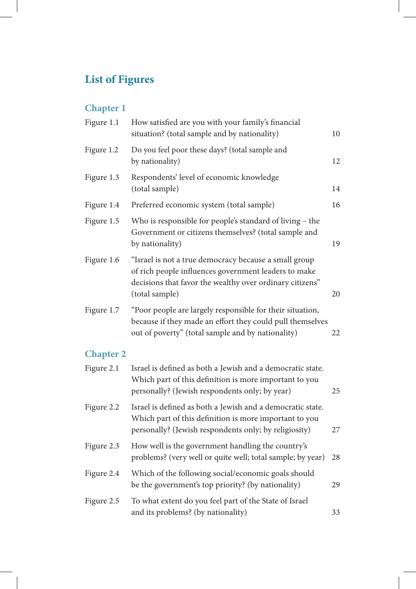# **List of Figures**

# **Chapter 1**

| Figure 1.1       | How satisfied are you with your family's financial<br>situation? (total sample and by nationality)                                                                                          | 10 |
|------------------|---------------------------------------------------------------------------------------------------------------------------------------------------------------------------------------------|----|
| Figure 1.2       | Do you feel poor these days? (total sample and<br>by nationality)                                                                                                                           | 12 |
| Figure 1.3       | Respondents' level of economic knowledge<br>(total sample)                                                                                                                                  | 14 |
| Figure 1.4       | Preferred economic system (total sample)                                                                                                                                                    | 16 |
| Figure 1.5       | Who is responsible for people's standard of living - the<br>Government or citizens themselves? (total sample and<br>by nationality)                                                         | 19 |
| Figure 1.6       | "Israel is not a true democracy because a small group<br>of rich people influences government leaders to make<br>decisions that favor the wealthy over ordinary citizens"<br>(total sample) | 20 |
| Figure 1.7       | "Poor people are largely responsible for their situation,<br>because if they made an effort they could pull themselves<br>out of poverty" (total sample and by nationality)                 | 22 |
| <b>Chapter 2</b> |                                                                                                                                                                                             |    |
| Figure 2.1       | Israel is defined as both a Jewish and a democratic state.<br>Which part of this definition is more important to you<br>personally? (Jewish respondents only; by year)                      | 25 |
| Figure 2.2       | Israel is defined as both a Jewish and a democratic state.<br>Which part of this definition is more important to you<br>personally? (Jewish respondents only; by religiosity)               | 27 |
| Figure 2.3       | How well is the government handling the country's<br>problems? (very well or quite well; total sample; by year)                                                                             | 28 |
| Figure 2.4       | Which of the following social/economic goals should<br>be the government's top priority? (by nationality)                                                                                   | 29 |
| Figure 2.5       | To what extent do you feel part of the State of Israel<br>and its problems? (by nationality)                                                                                                | 33 |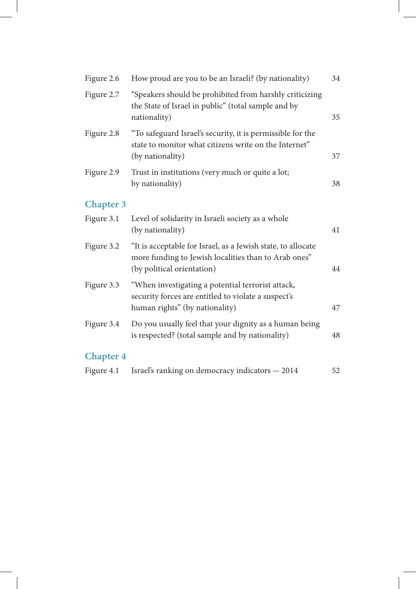| Figure 2.6       | How proud are you to be an Israeli? (by nationality)                                                                                               | 34 |
|------------------|----------------------------------------------------------------------------------------------------------------------------------------------------|----|
| Figure 2.7       | "Speakers should be prohibited from harshly criticizing<br>the State of Israel in public" (total sample and by<br>nationality)                     | 35 |
| Figure 2.8       | "To safeguard Israel's security, it is permissible for the<br>state to monitor what citizens write on the Internet"<br>(by nationality)            | 37 |
| Figure 2.9       | Trust in institutions (very much or quite a lot;<br>by nationality)                                                                                | 38 |
| <b>Chapter 3</b> |                                                                                                                                                    |    |
| Figure 3.1       | Level of solidarity in Israeli society as a whole<br>(by nationality)                                                                              | 41 |
| Figure 3.2       | "It is acceptable for Israel, as a Jewish state, to allocate<br>more funding to Jewish localities than to Arab ones"<br>(by political orientation) | 44 |
| Figure 3.3       | "When investigating a potential terrorist attack,<br>security forces are entitled to violate a suspect's<br>human rights" (by nationality)         | 47 |
| Figure 3.4       | Do you usually feel that your dignity as a human being<br>is respected? (total sample and by nationality)                                          | 48 |
| <b>Chapter 4</b> |                                                                                                                                                    |    |
| Figure 4.1       | Israel's ranking on democracy indicators - 2014                                                                                                    | 52 |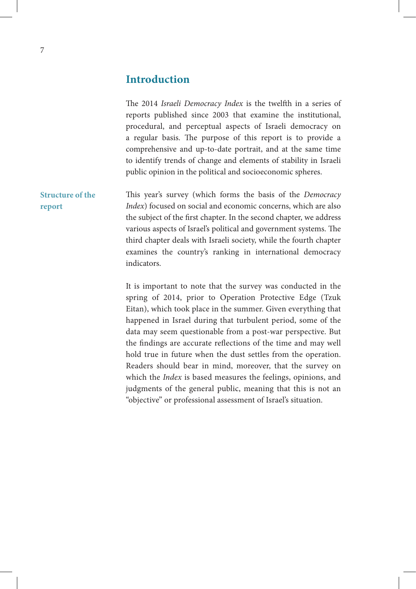## **Introduction**

| The 2014 Israeli Democracy Index is the twelfth in a series of    |
|-------------------------------------------------------------------|
| reports published since 2003 that examine the institutional,      |
| procedural, and perceptual aspects of Israeli democracy on        |
| a regular basis. The purpose of this report is to provide a       |
| comprehensive and up-to-date portrait, and at the same time       |
| to identify trends of change and elements of stability in Israeli |
| public opinion in the political and socioeconomic spheres.        |
|                                                                   |

This year's survey (which forms the basis of the *Democracy Index*) focused on social and economic concerns, which are also the subject of the first chapter. In the second chapter, we address various aspects of Israel's political and government systems. The third chapter deals with Israeli society, while the fourth chapter examines the country's ranking in international democracy indicators. **Structure of the report**

> It is important to note that the survey was conducted in the spring of 2014, prior to Operation Protective Edge (Tzuk Eitan), which took place in the summer. Given everything that happened in Israel during that turbulent period, some of the data may seem questionable from a post-war perspective. But the findings are accurate reflections of the time and may well hold true in future when the dust settles from the operation. Readers should bear in mind, moreover, that the survey on which the *Index* is based measures the feelings, opinions, and judgments of the general public, meaning that this is not an "objective" or professional assessment of Israel's situation.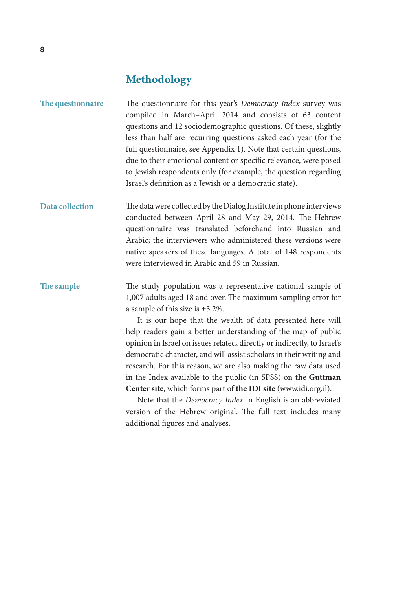# **Methodology**

| The questionnaire | The questionnaire for this year's Democracy Index survey was<br>compiled in March-April 2014 and consists of 63 content<br>questions and 12 sociodemographic questions. Of these, slightly<br>less than half are recurring questions asked each year (for the<br>full questionnaire, see Appendix 1). Note that certain questions,<br>due to their emotional content or specific relevance, were posed<br>to Jewish respondents only (for example, the question regarding<br>Israel's definition as a Jewish or a democratic state).                                                         |
|-------------------|----------------------------------------------------------------------------------------------------------------------------------------------------------------------------------------------------------------------------------------------------------------------------------------------------------------------------------------------------------------------------------------------------------------------------------------------------------------------------------------------------------------------------------------------------------------------------------------------|
| Data collection   | The data were collected by the Dialog Institute in phone interviews<br>conducted between April 28 and May 29, 2014. The Hebrew<br>questionnaire was translated beforehand into Russian and<br>Arabic; the interviewers who administered these versions were<br>native speakers of these languages. A total of 148 respondents<br>were interviewed in Arabic and 59 in Russian.                                                                                                                                                                                                               |
| The sample        | The study population was a representative national sample of<br>1,007 adults aged 18 and over. The maximum sampling error for<br>a sample of this size is $\pm 3.2$ %.<br>It is our hope that the wealth of data presented here will<br>help readers gain a better understanding of the map of public<br>opinion in Israel on issues related, directly or indirectly, to Israel's<br>democratic character, and will assist scholars in their writing and<br>research. For this reason, we are also making the raw data used<br>in the Index available to the public (in SPSS) on the Guttman |

Note that the *Democracy Index* in English is an abbreviated version of the Hebrew original. The full text includes many additional figures and analyses.

**Center site**, which forms part of **the IDI site** (www.idi.org.il).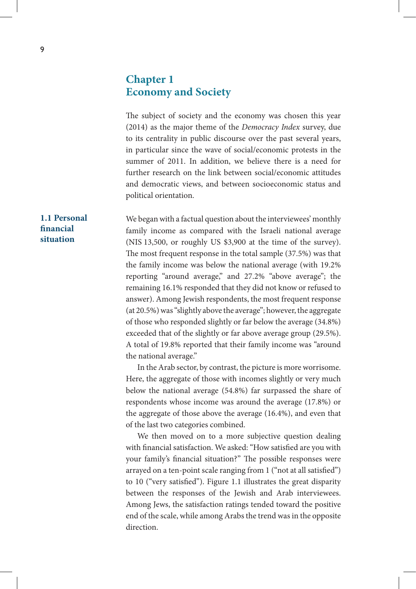## **Chapter 1 Economy and Society**

The subject of society and the economy was chosen this year (2014) as the major theme of the *Democracy Index* survey, due to its centrality in public discourse over the past several years, in particular since the wave of social/economic protests in the summer of 2011. In addition, we believe there is a need for further research on the link between social/economic attitudes and democratic views, and between socioeconomic status and political orientation.

We began with a factual question about the interviewees' monthly family income as compared with the Israeli national average (NIS 13,500, or roughly US \$3,900 at the time of the survey). The most frequent response in the total sample (37.5%) was that the family income was below the national average (with 19.2% reporting "around average," and 27.2% "above average"; the remaining 16.1% responded that they did not know or refused to answer). Among Jewish respondents, the most frequent response (at 20.5%) was "slightly above the average"; however, the aggregate of those who responded slightly or far below the average (34.8%) exceeded that of the slightly or far above average group (29.5%). A total of 19.8% reported that their family income was "around the national average."

In the Arab sector, by contrast, the picture is more worrisome. Here, the aggregate of those with incomes slightly or very much below the national average (54.8%) far surpassed the share of respondents whose income was around the average (17.8%) or the aggregate of those above the average (16.4%), and even that of the last two categories combined.

We then moved on to a more subjective question dealing with financial satisfaction. We asked: "How satisfied are you with your family's financial situation?" The possible responses were arrayed on a ten-point scale ranging from 1 ("not at all satisfied") to 10 ("very satisfied"). Figure 1.1 illustrates the great disparity between the responses of the Jewish and Arab interviewees. Among Jews, the satisfaction ratings tended toward the positive end of the scale, while among Arabs the trend was in the opposite direction.

#### **1.1 Personal financial situation**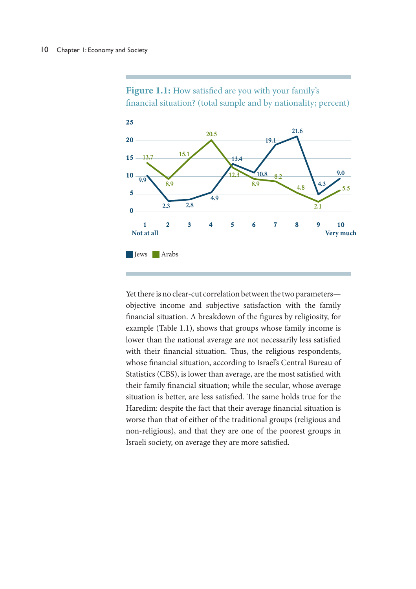

Figure 1.1: How satisfied are you with your family's financial situation? (total sample and by nationality; percent)

Yet there is no clear-cut correlation between the two parameters objective income and subjective satisfaction with the family financial situation. A breakdown of the figures by religiosity, for example (Table 1.1), shows that groups whose family income is lower than the national average are not necessarily less satisfied with their financial situation. Thus, the religious respondents, whose financial situation, according to Israel's Central Bureau of Statistics (CBS), is lower than average, are the most satisfied with their family financial situation; while the secular, whose average situation is better, are less satisfied. The same holds true for the Haredim: despite the fact that their average financial situation is worse than that of either of the traditional groups (religious and non-religious), and that they are one of the poorest groups in Israeli society, on average they are more satisfied.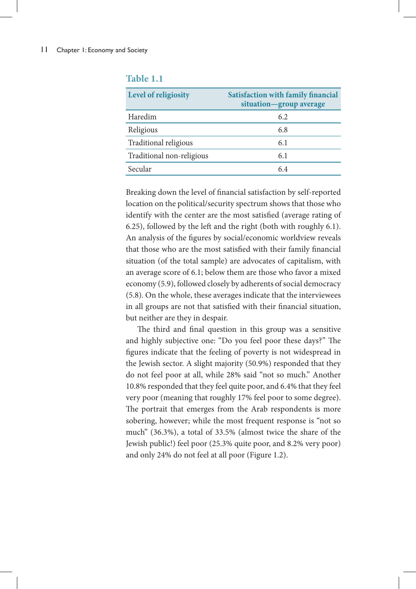| Level of religiosity      | <b>Satisfaction with family financial</b><br>situation-group average |
|---------------------------|----------------------------------------------------------------------|
| Haredim                   | 6.2                                                                  |
| Religious                 | 6.8                                                                  |
| Traditional religious     | 6.1                                                                  |
| Traditional non-religious | 6.1                                                                  |
| Secular                   | 6.4                                                                  |

#### **Table 1.1**

Breaking down the level of financial satisfaction by self-reported location on the political/security spectrum shows that those who identify with the center are the most satisfied (average rating of 6.25), followed by the left and the right (both with roughly 6.1). An analysis of the figures by social/economic worldview reveals that those who are the most satisfied with their family financial situation (of the total sample) are advocates of capitalism, with an average score of 6.1; below them are those who favor a mixed economy (5.9), followed closely by adherents of social democracy (5.8). On the whole, these averages indicate that the interviewees in all groups are not that satisfied with their financial situation, but neither are they in despair.

The third and final question in this group was a sensitive and highly subjective one: "Do you feel poor these days?" The figures indicate that the feeling of poverty is not widespread in the Jewish sector. A slight majority (50.9%) responded that they do not feel poor at all, while 28% said "not so much." Another 10.8% responded that they feel quite poor, and 6.4% that they feel very poor (meaning that roughly 17% feel poor to some degree). The portrait that emerges from the Arab respondents is more sobering, however; while the most frequent response is "not so much" (36.3%), a total of 33.5% (almost twice the share of the Jewish public!) feel poor (25.3% quite poor, and 8.2% very poor) and only 24% do not feel at all poor (Figure 1.2).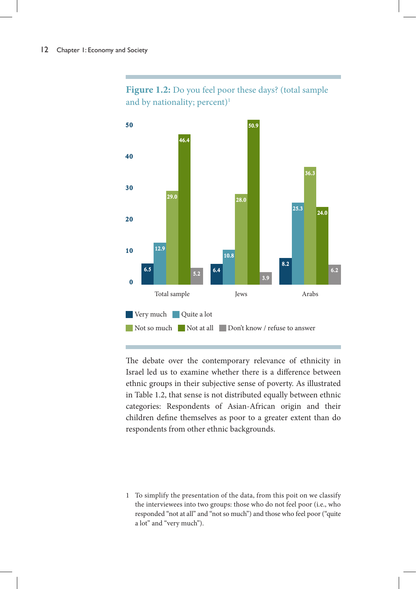

Figure 1.2: Do you feel poor these days? (total sample and by nationality; percent)<sup>1</sup>

The debate over the contemporary relevance of ethnicity in Israel led us to examine whether there is a difference between ethnic groups in their subjective sense of poverty. As illustrated in Table 1.2, that sense is not distributed equally between ethnic categories: Respondents of Asian-African origin and their children define themselves as poor to a greater extent than do respondents from other ethnic backgrounds.

1 To simplify the presentation of the data, from this poit on we classify the interviewees into two groups: those who do not feel poor (i.e., who responded "not at all" and "not so much") and those who feel poor ("quite a lot" and "very much").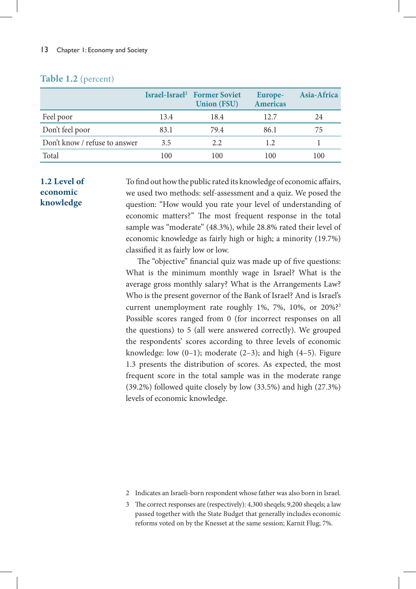## **Table 1.2** (percent)

|                               |      | Israel-Israel <sup>2</sup> Former Soviet<br><b>Union (FSU)</b> | Europe-<br><b>Americas</b> | Asia-Africa |
|-------------------------------|------|----------------------------------------------------------------|----------------------------|-------------|
| Feel poor                     | 13.4 | 18.4                                                           | 12.7                       | 24          |
| Don't feel poor               | 83.1 | 79.4                                                           | 86.1                       | 75          |
| Don't know / refuse to answer | 3.5  | 2.2                                                            | 1.2                        |             |
| Total                         | 100  | 100                                                            | 100                        | 100         |

### **1.2 Level of economic knowledge**

To find out how the public rated its knowledge of economic affairs, we used two methods: self-assessment and a quiz. We posed the question: "How would you rate your level of understanding of economic matters?" The most frequent response in the total sample was "moderate" (48.3%), while 28.8% rated their level of economic knowledge as fairly high or high; a minority (19.7%) classified it as fairly low or low.

The "objective" financial quiz was made up of five questions: What is the minimum monthly wage in Israel? What is the average gross monthly salary? What is the Arrangements Law? Who is the present governor of the Bank of Israel? And is Israel's current unemployment rate roughly 1%, 7%, 10%, or 20%?<sup>3</sup> Possible scores ranged from 0 (for incorrect responses on all the questions) to 5 (all were answered correctly). We grouped the respondents' scores according to three levels of economic knowledge: low  $(0-1)$ ; moderate  $(2-3)$ ; and high  $(4-5)$ . Figure 1.3 presents the distribution of scores. As expected, the most frequent score in the total sample was in the moderate range (39.2%) followed quite closely by low (33.5%) and high (27.3%) levels of economic knowledge.

- 2 Indicates an Israeli-born respondent whose father was also born in Israel.
- 3 The correct responses are (respectively): 4,300 sheqels; 9,200 sheqels; a law passed together with the State Budget that generally includes economic reforms voted on by the Knesset at the same session; Karnit Flug; 7%.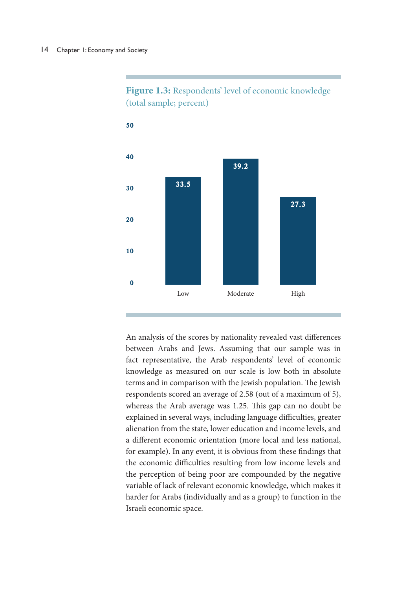



An analysis of the scores by nationality revealed vast differences between Arabs and Jews. Assuming that our sample was in fact representative, the Arab respondents' level of economic knowledge as measured on our scale is low both in absolute terms and in comparison with the Jewish population. The Jewish respondents scored an average of 2.58 (out of a maximum of 5), whereas the Arab average was 1.25. This gap can no doubt be explained in several ways, including language difficulties, greater alienation from the state, lower education and income levels, and a different economic orientation (more local and less national, for example). In any event, it is obvious from these findings that the economic difficulties resulting from low income levels and the perception of being poor are compounded by the negative variable of lack of relevant economic knowledge, which makes it harder for Arabs (individually and as a group) to function in the Israeli economic space.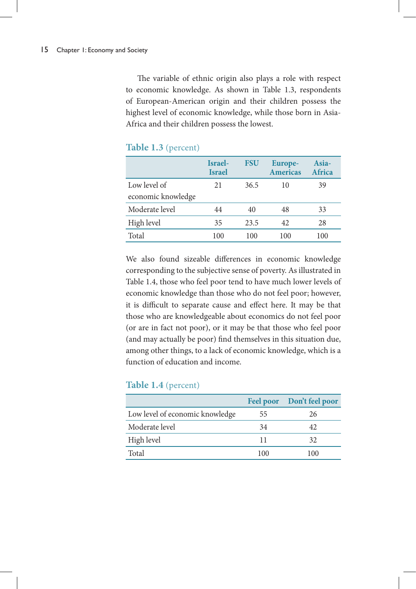The variable of ethnic origin also plays a role with respect to economic knowledge. As shown in Table 1.3, respondents of European-American origin and their children possess the highest level of economic knowledge, while those born in Asia-Africa and their children possess the lowest.

|                    | Israel-<br><b>Israel</b> | <b>FSU</b> | Europe-<br><b>Americas</b> | Asia-<br>Africa |
|--------------------|--------------------------|------------|----------------------------|-----------------|
| Low level of       | 21                       | 36.5       | 10                         | 39              |
| economic knowledge |                          |            |                            |                 |
| Moderate level     | 44                       | 40         | 48                         | 33              |
| High level         | 35                       | 23.5       | 42                         | 28              |
| Total              | 100                      | 100        | 100                        | 100             |

#### **Table 1.3** (percent)

We also found sizeable differences in economic knowledge corresponding to the subjective sense of poverty. As illustrated in Table 1.4, those who feel poor tend to have much lower levels of economic knowledge than those who do not feel poor; however, it is difficult to separate cause and effect here. It may be that those who are knowledgeable about economics do not feel poor (or are in fact not poor), or it may be that those who feel poor (and may actually be poor) find themselves in this situation due, among other things, to a lack of economic knowledge, which is a function of education and income.

#### **Table 1.4** (percent)

|                                 | <b>Feel poor</b> | Don't feel poor |
|---------------------------------|------------------|-----------------|
| Low level of economic knowledge | 55               | 26              |
| Moderate level                  | 34               |                 |
| High level                      | 11               | 32.             |
| Total                           | 100              | 100             |
|                                 |                  |                 |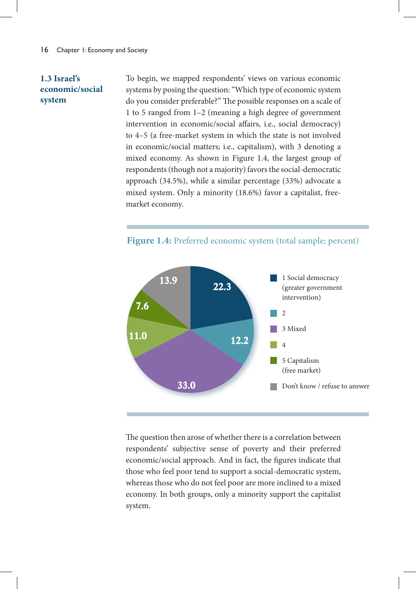#### **1.3 Israel's economic/social system**

To begin, we mapped respondents' views on various economic systems by posing the question: "Which type of economic system do you consider preferable?" The possible responses on a scale of 1 to 5 ranged from 1–2 (meaning a high degree of government intervention in economic/social affairs, i.e., social democracy) to 4–5 (a free-market system in which the state is not involved in economic/social matters; i.e., capitalism), with 3 denoting a mixed economy. As shown in Figure 1.4, the largest group of respondents (though not a majority) favors the social-democratic approach (34.5%), while a similar percentage (33%) advocate a mixed system. Only a minority (18.6%) favor a capitalist, freemarket economy.



**Figure 1.4:** Preferred economic system (total sample; percent)

The question then arose of whether there is a correlation between respondents' subjective sense of poverty and their preferred economic/social approach. And in fact, the figures indicate that those who feel poor tend to support a social-democratic system, whereas those who do not feel poor are more inclined to a mixed economy. In both groups, only a minority support the capitalist system.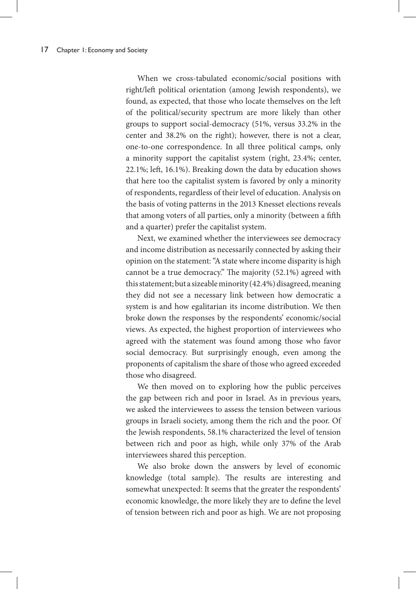When we cross-tabulated economic/social positions with right/left political orientation (among Jewish respondents), we found, as expected, that those who locate themselves on the left of the political/security spectrum are more likely than other groups to support social-democracy (51%, versus 33.2% in the center and 38.2% on the right); however, there is not a clear, one-to-one correspondence. In all three political camps, only a minority support the capitalist system (right, 23.4%; center, 22.1%; left, 16.1%). Breaking down the data by education shows that here too the capitalist system is favored by only a minority of respondents, regardless of their level of education. Analysis on the basis of voting patterns in the 2013 Knesset elections reveals that among voters of all parties, only a minority (between a fifth and a quarter) prefer the capitalist system.

Next, we examined whether the interviewees see democracy and income distribution as necessarily connected by asking their opinion on the statement: "A state where income disparity is high cannot be a true democracy." The majority (52.1%) agreed with this statement; but a sizeable minority (42.4%) disagreed, meaning they did not see a necessary link between how democratic a system is and how egalitarian its income distribution. We then broke down the responses by the respondents' economic/social views. As expected, the highest proportion of interviewees who agreed with the statement was found among those who favor social democracy. But surprisingly enough, even among the proponents of capitalism the share of those who agreed exceeded those who disagreed.

We then moved on to exploring how the public perceives the gap between rich and poor in Israel. As in previous years, we asked the interviewees to assess the tension between various groups in Israeli society, among them the rich and the poor. Of the Jewish respondents, 58.1% characterized the level of tension between rich and poor as high, while only 37% of the Arab interviewees shared this perception.

We also broke down the answers by level of economic knowledge (total sample). The results are interesting and somewhat unexpected: It seems that the greater the respondents' economic knowledge, the more likely they are to define the level of tension between rich and poor as high. We are not proposing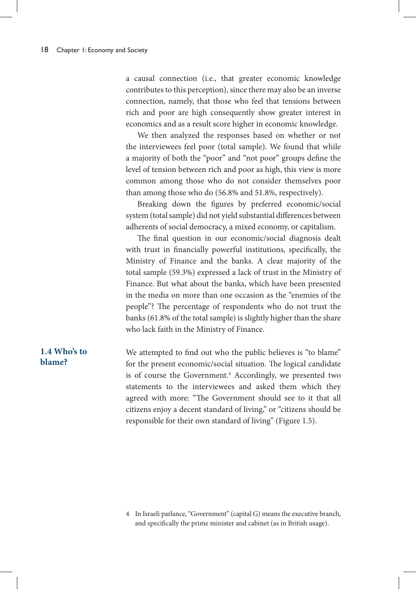a causal connection (i.e., that greater economic knowledge contributes to this perception), since there may also be an inverse connection, namely, that those who feel that tensions between rich and poor are high consequently show greater interest in economics and as a result score higher in economic knowledge.

We then analyzed the responses based on whether or not the interviewees feel poor (total sample). We found that while a majority of both the "poor" and "not poor" groups define the level of tension between rich and poor as high, this view is more common among those who do not consider themselves poor than among those who do (56.8% and 51.8%, respectively).

Breaking down the figures by preferred economic/social system (total sample) did not yield substantial differences between adherents of social democracy, a mixed economy, or capitalism.

The final question in our economic/social diagnosis dealt with trust in financially powerful institutions, specifically, the Ministry of Finance and the banks. A clear majority of the total sample (59.3%) expressed a lack of trust in the Ministry of Finance. But what about the banks, which have been presented in the media on more than one occasion as the "enemies of the people"? The percentage of respondents who do not trust the banks (61.8% of the total sample) is slightly higher than the share who lack faith in the Ministry of Finance.

We attempted to find out who the public believes is "to blame" for the present economic/social situation. The logical candidate is of course the Government.<sup>4</sup> Accordingly, we presented two statements to the interviewees and asked them which they agreed with more: "The Government should see to it that all citizens enjoy a decent standard of living," or "citizens should be responsible for their own standard of living" (Figure 1.5).

## **1.4 Who's to blame?**

<sup>4</sup> In Israeli parlance, "Government" (capital G) means the executive branch, and specifically the prime minister and cabinet (as in British usage).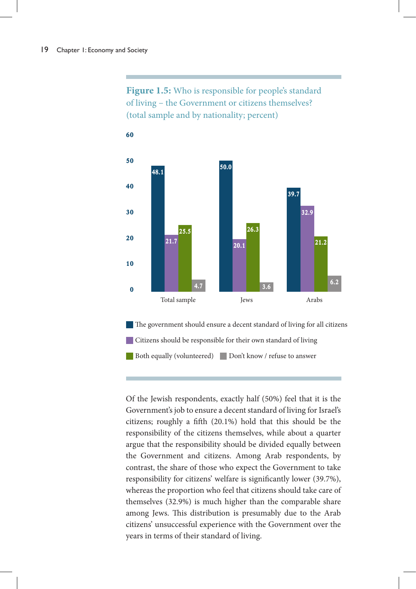Figure 1.5: Who is responsible for people's standard of living – the Government or citizens themselves? (total sample and by nationality; percent)



The government should ensure a decent standard of living for all citizens Citizens should be responsible for their own standard of living Both equally (volunteered) Don't know / refuse to answer

Of the Jewish respondents, exactly half (50%) feel that it is the Government's job to ensure a decent standard of living for Israel's citizens; roughly a fifth (20.1%) hold that this should be the responsibility of the citizens themselves, while about a quarter argue that the responsibility should be divided equally between the Government and citizens. Among Arab respondents, by contrast, the share of those who expect the Government to take responsibility for citizens' welfare is significantly lower (39.7%), whereas the proportion who feel that citizens should take care of themselves (32.9%) is much higher than the comparable share among Jews. This distribution is presumably due to the Arab citizens' unsuccessful experience with the Government over the years in terms of their standard of living.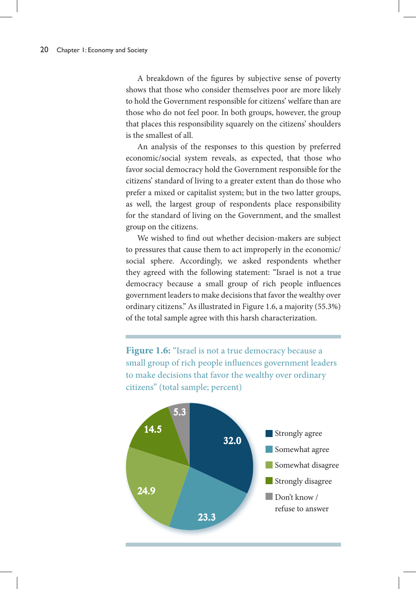A breakdown of the figures by subjective sense of poverty shows that those who consider themselves poor are more likely to hold the Government responsible for citizens' welfare than are those who do not feel poor. In both groups, however, the group that places this responsibility squarely on the citizens' shoulders is the smallest of all.

An analysis of the responses to this question by preferred economic/social system reveals, as expected, that those who favor social democracy hold the Government responsible for the citizens' standard of living to a greater extent than do those who prefer a mixed or capitalist system; but in the two latter groups, as well, the largest group of respondents place responsibility for the standard of living on the Government, and the smallest group on the citizens.

We wished to find out whether decision-makers are subject to pressures that cause them to act improperly in the economic/ social sphere. Accordingly, we asked respondents whether they agreed with the following statement: "Israel is not a true democracy because a small group of rich people influences government leaders to make decisions that favor the wealthy over ordinary citizens." As illustrated in Figure 1.6, a majority (55.3%) of the total sample agree with this harsh characterization.

Figure 1.6: "Israel is not a true democracy because a small group of rich people influences government leaders to make decisions that favor the wealthy over ordinary citizens" (total sample; percent)

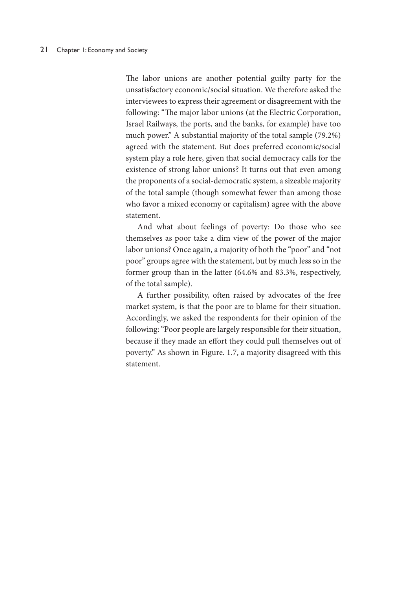The labor unions are another potential guilty party for the unsatisfactory economic/social situation. We therefore asked the interviewees to express their agreement or disagreement with the following: "The major labor unions (at the Electric Corporation, Israel Railways, the ports, and the banks, for example) have too much power." A substantial majority of the total sample (79.2%) agreed with the statement. But does preferred economic/social system play a role here, given that social democracy calls for the existence of strong labor unions? It turns out that even among the proponents of a social-democratic system, a sizeable majority of the total sample (though somewhat fewer than among those who favor a mixed economy or capitalism) agree with the above statement.

And what about feelings of poverty: Do those who see themselves as poor take a dim view of the power of the major labor unions? Once again, a majority of both the "poor" and "not poor" groups agree with the statement, but by much less so in the former group than in the latter (64.6% and 83.3%, respectively, of the total sample).

A further possibility, often raised by advocates of the free market system, is that the poor are to blame for their situation. Accordingly, we asked the respondents for their opinion of the following: "Poor people are largely responsible for their situation, because if they made an effort they could pull themselves out of poverty." As shown in Figure. 1.7, a majority disagreed with this statement.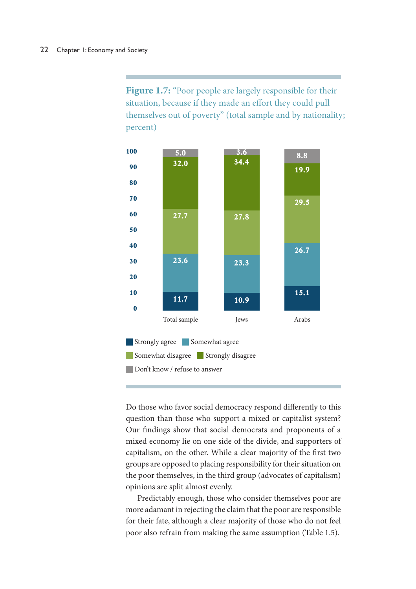Figure 1.7: "Poor people are largely responsible for their situation, because if they made an effort they could pull themselves out of poverty" (total sample and by nationality; percent)



Do those who favor social democracy respond differently to this question than those who support a mixed or capitalist system? Our findings show that social democrats and proponents of a mixed economy lie on one side of the divide, and supporters of capitalism, on the other. While a clear majority of the first two groups are opposed to placing responsibility for their situation on the poor themselves, in the third group (advocates of capitalism) opinions are split almost evenly.

Predictably enough, those who consider themselves poor are more adamant in rejecting the claim that the poor are responsible for their fate, although a clear majority of those who do not feel poor also refrain from making the same assumption (Table 1.5).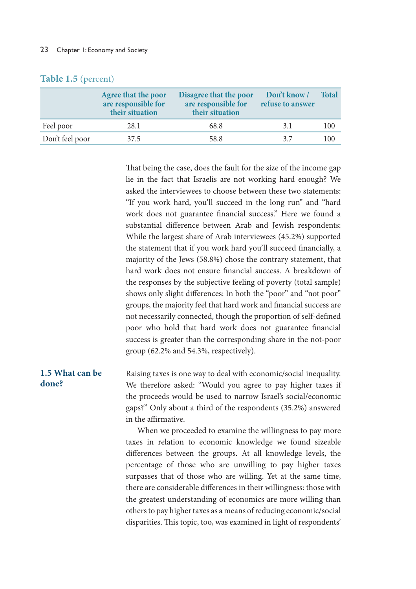|                 | Agree that the poor<br>are responsible for<br>their situation | Disagree that the poor<br>are responsible for<br>their situation | Don't know /<br>refuse to answer | <b>Total</b> |
|-----------------|---------------------------------------------------------------|------------------------------------------------------------------|----------------------------------|--------------|
| Feel poor       | 28.1                                                          | 68.8                                                             | 3.1                              | 100          |
| Don't feel poor | 37.5                                                          | 58.8                                                             | 37                               | 100          |

#### **Table 1.5** (percent)

That being the case, does the fault for the size of the income gap lie in the fact that Israelis are not working hard enough? We asked the interviewees to choose between these two statements: "If you work hard, you'll succeed in the long run" and "hard work does not guarantee financial success." Here we found a substantial difference between Arab and Jewish respondents: While the largest share of Arab interviewees (45.2%) supported the statement that if you work hard you'll succeed financially, a majority of the Jews (58.8%) chose the contrary statement, that hard work does not ensure financial success. A breakdown of the responses by the subjective feeling of poverty (total sample) shows only slight differences: In both the "poor" and "not poor" groups, the majority feel that hard work and financial success are not necessarily connected, though the proportion of self-defined poor who hold that hard work does not guarantee financial success is greater than the corresponding share in the not-poor group (62.2% and 54.3%, respectively).

#### **1.5 What can be done?**

Raising taxes is one way to deal with economic/social inequality. We therefore asked: "Would you agree to pay higher taxes if the proceeds would be used to narrow Israel's social/economic gaps?" Only about a third of the respondents (35.2%) answered in the affirmative.

When we proceeded to examine the willingness to pay more taxes in relation to economic knowledge we found sizeable differences between the groups. At all knowledge levels, the percentage of those who are unwilling to pay higher taxes surpasses that of those who are willing. Yet at the same time, there are considerable differences in their willingness: those with the greatest understanding of economics are more willing than others to pay higher taxes as a means of reducing economic/social disparities. This topic, too, was examined in light of respondents'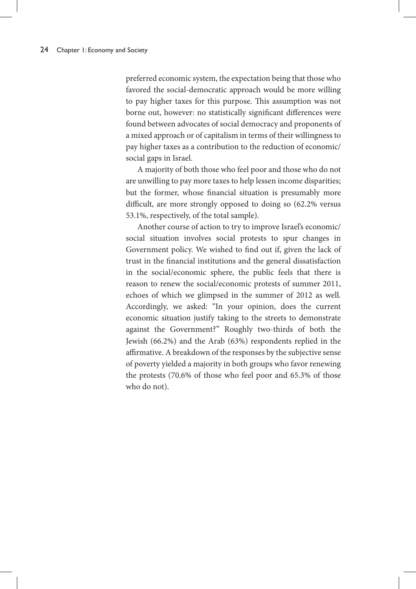preferred economic system, the expectation being that those who favored the social-democratic approach would be more willing to pay higher taxes for this purpose. This assumption was not borne out, however: no statistically significant differences were found between advocates of social democracy and proponents of a mixed approach or of capitalism in terms of their willingness to pay higher taxes as a contribution to the reduction of economic/ social gaps in Israel.

A majority of both those who feel poor and those who do not are unwilling to pay more taxes to help lessen income disparities; but the former, whose financial situation is presumably more difficult, are more strongly opposed to doing so (62.2% versus 53.1%, respectively, of the total sample).

Another course of action to try to improve Israel's economic/ social situation involves social protests to spur changes in Government policy. We wished to find out if, given the lack of trust in the financial institutions and the general dissatisfaction in the social/economic sphere, the public feels that there is reason to renew the social/economic protests of summer 2011, echoes of which we glimpsed in the summer of 2012 as well. Accordingly, we asked: "In your opinion, does the current economic situation justify taking to the streets to demonstrate against the Government?" Roughly two-thirds of both the Jewish (66.2%) and the Arab (63%) respondents replied in the affirmative. A breakdown of the responses by the subjective sense of poverty yielded a majority in both groups who favor renewing the protests (70.6% of those who feel poor and 65.3% of those who do not).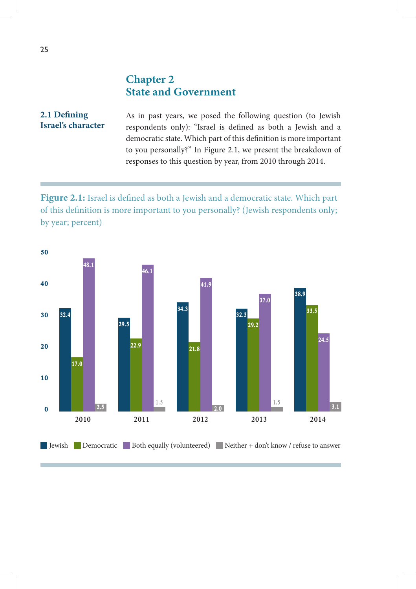## **Chapter 2 State and Government**

#### As in past years, we posed the following question (to Jewish respondents only): "Israel is defined as both a Jewish and a democratic state. Which part of this definition is more important to you personally?" In Figure 2.1, we present the breakdown of responses to this question by year, from 2010 through 2014. **2.1 Defining Israel's character**

**Figure 2.1:** Israel is defined as both a Jewish and a democratic state. Which part of this definition is more important to you personally? (Jewish respondents only; by year; percent)

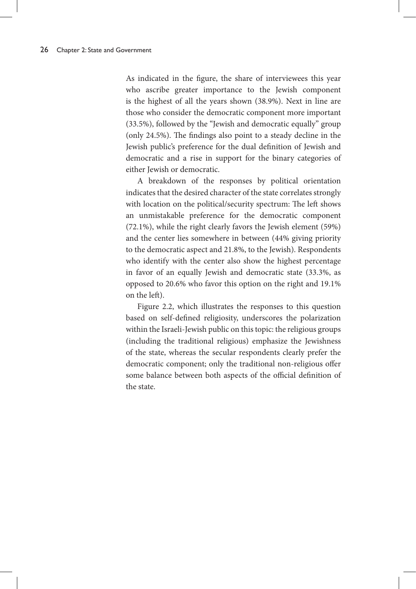As indicated in the figure, the share of interviewees this year who ascribe greater importance to the Jewish component is the highest of all the years shown (38.9%). Next in line are those who consider the democratic component more important (33.5%), followed by the "Jewish and democratic equally" group (only 24.5%). The findings also point to a steady decline in the Jewish public's preference for the dual definition of Jewish and democratic and a rise in support for the binary categories of either Jewish or democratic.

A breakdown of the responses by political orientation indicates that the desired character of the state correlates strongly with location on the political/security spectrum: The left shows an unmistakable preference for the democratic component (72.1%), while the right clearly favors the Jewish element (59%) and the center lies somewhere in between (44% giving priority to the democratic aspect and 21.8%, to the Jewish). Respondents who identify with the center also show the highest percentage in favor of an equally Jewish and democratic state (33.3%, as opposed to 20.6% who favor this option on the right and 19.1% on the left).

Figure 2.2, which illustrates the responses to this question based on self-defined religiosity, underscores the polarization within the Israeli-Jewish public on this topic: the religious groups (including the traditional religious) emphasize the Jewishness of the state, whereas the secular respondents clearly prefer the democratic component; only the traditional non-religious offer some balance between both aspects of the official definition of the state.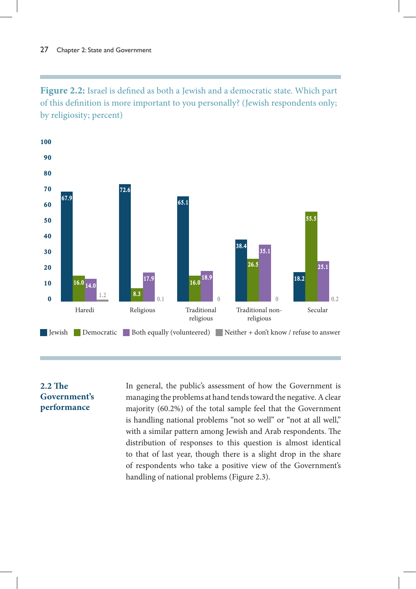**Figure 2.2:** Israel is defined as both a Jewish and a democratic state. Which part of this definition is more important to you personally? (Jewish respondents only; by religiosity; percent)



#### **2.2 The Government's performance**

In general, the public's assessment of how the Government is managing the problems at hand tends toward the negative. A clear majority (60.2%) of the total sample feel that the Government is handling national problems "not so well" or "not at all well," with a similar pattern among Jewish and Arab respondents. The distribution of responses to this question is almost identical to that of last year, though there is a slight drop in the share of respondents who take a positive view of the Government's handling of national problems (Figure 2.3).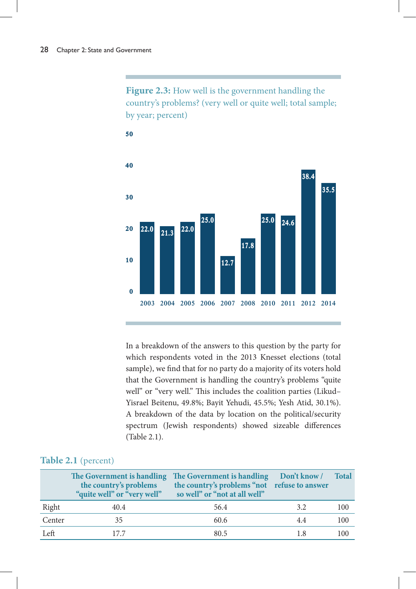**Figure 2.3:** How well is the government handling the country's problems? (very well or quite well; total sample; by year; percent)



In a breakdown of the answers to this question by the party for which respondents voted in the 2013 Knesset elections (total sample), we find that for no party do a majority of its voters hold that the Government is handling the country's problems "quite well" or "very well." This includes the coalition parties (Likud-Yisrael Beitenu, 49.8%; Bayit Yehudi, 45.5%; Yesh Atid, 30.1%). A breakdown of the data by location on the political/security spectrum (Jewish respondents) showed sizeable differences (Table 2.1).

#### **Table 2.1** (percent)

|        | the country's problems | The Government is handling The Government is handling<br>the country's problems "not refuse to answer<br>"quite well" or "very well" so well" or "not at all well" | Don't know / | <b>Total</b> |
|--------|------------------------|--------------------------------------------------------------------------------------------------------------------------------------------------------------------|--------------|--------------|
| Right  | 40.4                   | 56.4                                                                                                                                                               | 3.2          | 100          |
| Center | 35                     | 60.6                                                                                                                                                               | 4.4          | 100          |
| Left   | 177                    | 80.5                                                                                                                                                               | 1.8          | 100          |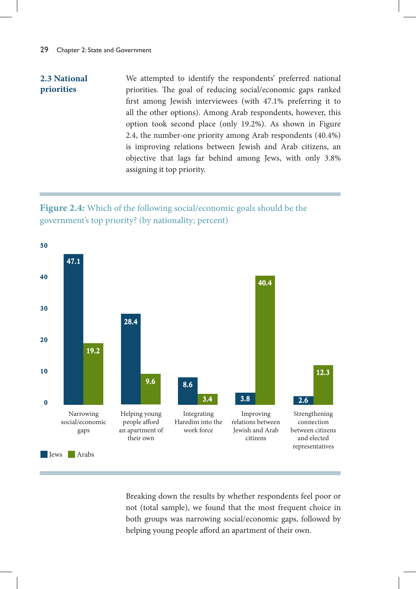#### **2.3 National priorities**

We attempted to identify the respondents' preferred national priorities. The goal of reducing social/economic gaps ranked first among Jewish interviewees (with 47.1% preferring it to all the other options). Among Arab respondents, however, this option took second place (only 19.2%). As shown in Figure 2.4, the number-one priority among Arab respondents (40.4%) is improving relations between Jewish and Arab citizens, an objective that lags far behind among Jews, with only 3.8% assigning it top priority.

## **Figure 2.4:** Which of the following social/economic goals should be the government's top priority? (by nationality; percent)



Breaking down the results by whether respondents feel poor or not (total sample), we found that the most frequent choice in both groups was narrowing social/economic gaps, followed by helping young people afford an apartment of their own.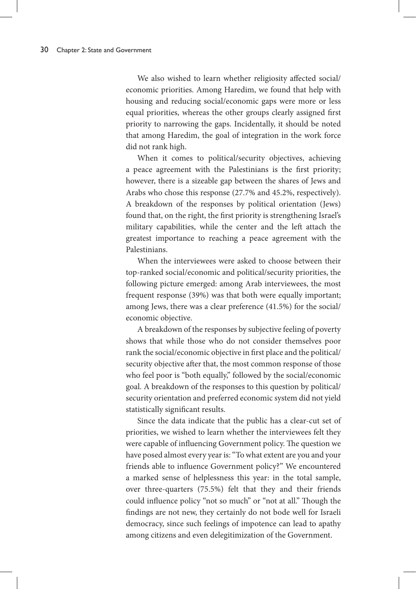We also wished to learn whether religiosity affected social/ economic priorities. Among Haredim, we found that help with housing and reducing social/economic gaps were more or less equal priorities, whereas the other groups clearly assigned first priority to narrowing the gaps. Incidentally, it should be noted that among Haredim, the goal of integration in the work force did not rank high.

When it comes to political/security objectives, achieving a peace agreement with the Palestinians is the first priority; however, there is a sizeable gap between the shares of Jews and Arabs who chose this response (27.7% and 45.2%, respectively). A breakdown of the responses by political orientation (Jews) found that, on the right, the first priority is strengthening Israel's military capabilities, while the center and the left attach the greatest importance to reaching a peace agreement with the Palestinians.

When the interviewees were asked to choose between their top-ranked social/economic and political/security priorities, the following picture emerged: among Arab interviewees, the most frequent response (39%) was that both were equally important; among Jews, there was a clear preference (41.5%) for the social/ economic objective.

A breakdown of the responses by subjective feeling of poverty shows that while those who do not consider themselves poor rank the social/economic objective in first place and the political/ security objective after that, the most common response of those who feel poor is "both equally," followed by the social/economic goal. A breakdown of the responses to this question by political/ security orientation and preferred economic system did not yield statistically significant results.

Since the data indicate that the public has a clear-cut set of priorities, we wished to learn whether the interviewees felt they were capable of influencing Government policy. The question we have posed almost every year is: "To what extent are you and your friends able to influence Government policy?" We encountered a marked sense of helplessness this year: in the total sample, over three-quarters (75.5%) felt that they and their friends could influence policy "not so much" or "not at all." Though the findings are not new, they certainly do not bode well for Israeli democracy, since such feelings of impotence can lead to apathy among citizens and even delegitimization of the Government.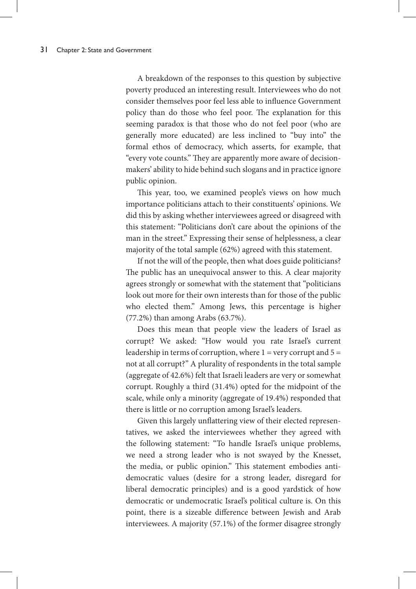A breakdown of the responses to this question by subjective poverty produced an interesting result. Interviewees who do not consider themselves poor feel less able to influence Government policy than do those who feel poor. The explanation for this seeming paradox is that those who do not feel poor (who are generally more educated) are less inclined to "buy into" the formal ethos of democracy, which asserts, for example, that "every vote counts." They are apparently more aware of decisionmakers' ability to hide behind such slogans and in practice ignore public opinion.

This year, too, we examined people's views on how much importance politicians attach to their constituents' opinions. We did this by asking whether interviewees agreed or disagreed with this statement: "Politicians don't care about the opinions of the man in the street." Expressing their sense of helplessness, a clear majority of the total sample (62%) agreed with this statement.

If not the will of the people, then what does guide politicians? The public has an unequivocal answer to this. A clear majority agrees strongly or somewhat with the statement that "politicians look out more for their own interests than for those of the public who elected them." Among Jews, this percentage is higher (77.2%) than among Arabs (63.7%).

Does this mean that people view the leaders of Israel as corrupt? We asked: "How would you rate Israel's current leadership in terms of corruption, where  $1 =$  very corrupt and  $5 =$ not at all corrupt?" A plurality of respondents in the total sample (aggregate of 42.6%) felt that Israeli leaders are very or somewhat corrupt. Roughly a third (31.4%) opted for the midpoint of the scale, while only a minority (aggregate of 19.4%) responded that there is little or no corruption among Israel's leaders.

Given this largely unflattering view of their elected representatives, we asked the interviewees whether they agreed with the following statement: "To handle Israel's unique problems, we need a strong leader who is not swayed by the Knesset, the media, or public opinion." This statement embodies antidemocratic values (desire for a strong leader, disregard for liberal democratic principles) and is a good yardstick of how democratic or undemocratic Israel's political culture is. On this point, there is a sizeable difference between Jewish and Arab interviewees. A majority (57.1%) of the former disagree strongly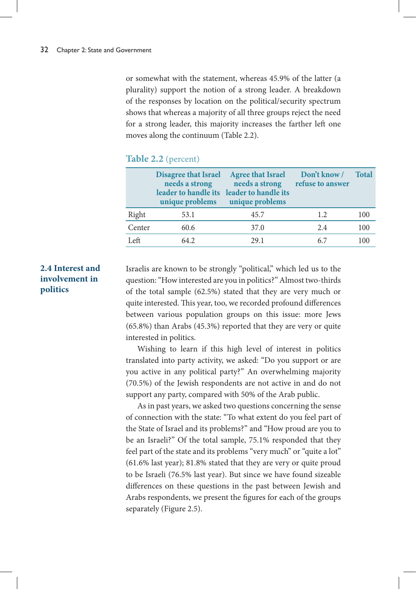or somewhat with the statement, whereas 45.9% of the latter (a plurality) support the notion of a strong leader. A breakdown of the responses by location on the political/security spectrum shows that whereas a majority of all three groups reject the need for a strong leader, this majority increases the farther left one moves along the continuum (Table 2.2).

### **Table 2.2** (percent)

|        | <b>Disagree that Israel</b><br>needs a strong<br>leader to handle its<br>unique problems | <b>Agree that Israel</b><br>needs a strong<br>leader to handle its<br>unique problems | Don't know /<br>refuse to answer | <b>Total</b> |
|--------|------------------------------------------------------------------------------------------|---------------------------------------------------------------------------------------|----------------------------------|--------------|
| Right  | 53.1                                                                                     | 45.7                                                                                  | 1.2                              | 100          |
| Center | 60.6                                                                                     | 37.0                                                                                  | 2.4                              | 100          |
| Left.  | 64.2                                                                                     | 29.1                                                                                  | 6.7                              | 100          |

### **2.4 Interest and involvement in politics**

Israelis are known to be strongly "political," which led us to the question: "How interested are you in politics?" Almost two-thirds of the total sample (62.5%) stated that they are very much or quite interested. This year, too, we recorded profound differences between various population groups on this issue: more Jews (65.8%) than Arabs (45.3%) reported that they are very or quite interested in politics.

Wishing to learn if this high level of interest in politics translated into party activity, we asked: "Do you support or are you active in any political party?" An overwhelming majority (70.5%) of the Jewish respondents are not active in and do not support any party, compared with 50% of the Arab public.

As in past years, we asked two questions concerning the sense of connection with the state: "To what extent do you feel part of the State of Israel and its problems?" and "How proud are you to be an Israeli?" Of the total sample, 75.1% responded that they feel part of the state and its problems "very much" or "quite a lot" (61.6% last year); 81.8% stated that they are very or quite proud to be Israeli (76.5% last year). But since we have found sizeable differences on these questions in the past between Jewish and Arabs respondents, we present the figures for each of the groups separately (Figure 2.5).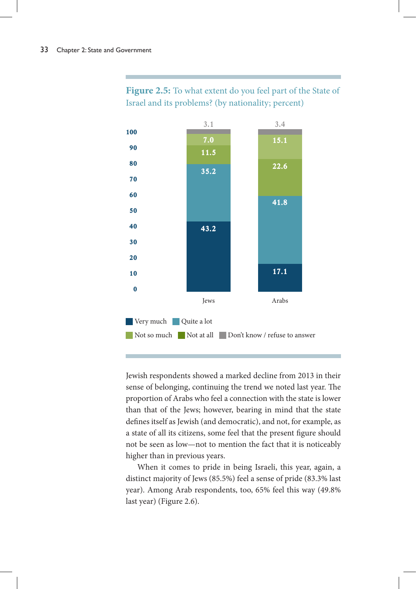

## **Figure 2.5:** To what extent do you feel part of the State of Israel and its problems? (by nationality; percent)

Jewish respondents showed a marked decline from 2013 in their sense of belonging, continuing the trend we noted last year. The proportion of Arabs who feel a connection with the state is lower than that of the Jews; however, bearing in mind that the state defines itself as Jewish (and democratic), and not, for example, as a state of all its citizens, some feel that the present figure should not be seen as low—not to mention the fact that it is noticeably higher than in previous years.

When it comes to pride in being Israeli, this year, again, a distinct majority of Jews (85.5%) feel a sense of pride (83.3% last year). Among Arab respondents, too, 65% feel this way (49.8% last year) (Figure 2.6).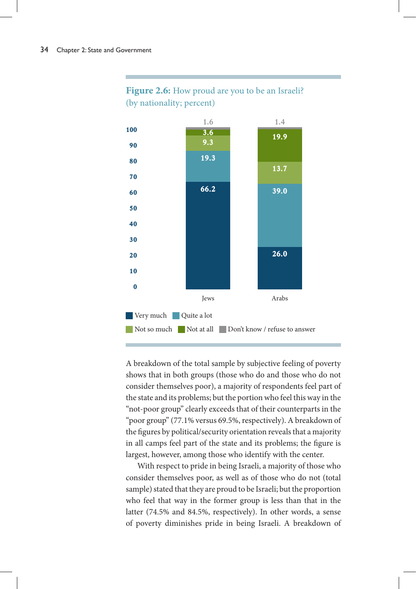

## **Figure 2.6:** How proud are you to be an Israeli? (by nationality; percent)

A breakdown of the total sample by subjective feeling of poverty shows that in both groups (those who do and those who do not consider themselves poor), a majority of respondents feel part of the state and its problems; but the portion who feel this way in the "not-poor group" clearly exceeds that of their counterparts in the "poor group" (77.1% versus 69.5%, respectively). A breakdown of the figures by political/security orientation reveals that a majority in all camps feel part of the state and its problems; the figure is largest, however, among those who identify with the center.

With respect to pride in being Israeli, a majority of those who consider themselves poor, as well as of those who do not (total sample) stated that they are proud to be Israeli; but the proportion who feel that way in the former group is less than that in the latter (74.5% and 84.5%, respectively). In other words, a sense of poverty diminishes pride in being Israeli. A breakdown of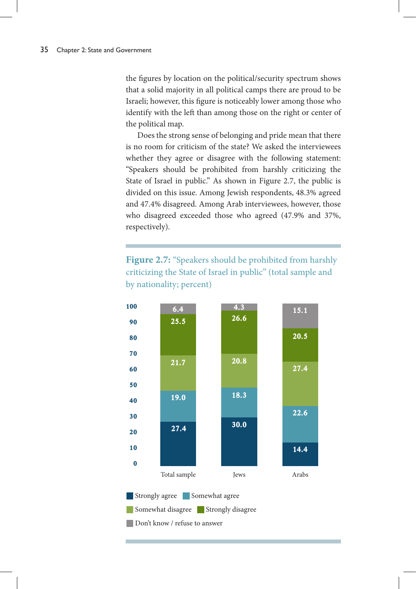the figures by location on the political/security spectrum shows that a solid majority in all political camps there are proud to be Israeli; however, this figure is noticeably lower among those who identify with the left than among those on the right or center of the political map.

Does the strong sense of belonging and pride mean that there is no room for criticism of the state? We asked the interviewees whether they agree or disagree with the following statement: "Speakers should be prohibited from harshly criticizing the State of Israel in public." As shown in Figure 2.7, the public is divided on this issue. Among Jewish respondents, 48.3% agreed and 47.4% disagreed. Among Arab interviewees, however, those who disagreed exceeded those who agreed (47.9% and 37%, respectively).

Figure 2.7: "Speakers should be prohibited from harshly criticizing the State of Israel in public" (total sample and by nationality; percent)



**Strongly agree** Somewhat agree Somewhat disagree Strongly disagree Don't know / refuse to answer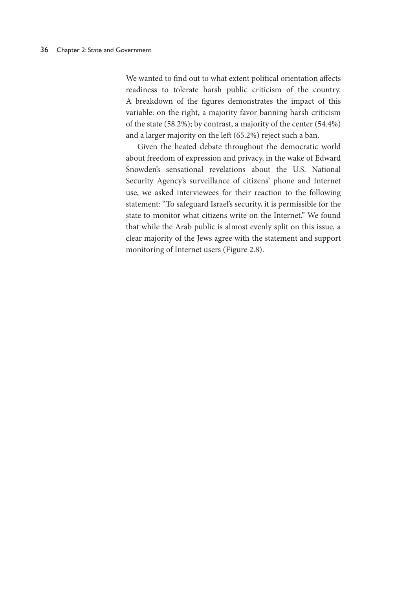We wanted to find out to what extent political orientation affects readiness to tolerate harsh public criticism of the country. A breakdown of the figures demonstrates the impact of this variable: on the right, a majority favor banning harsh criticism of the state (58.2%); by contrast, a majority of the center (54.4%) and a larger majority on the left (65.2%) reject such a ban.

Given the heated debate throughout the democratic world about freedom of expression and privacy, in the wake of Edward Snowden's sensational revelations about the U.S. National Security Agency's surveillance of citizens' phone and Internet use, we asked interviewees for their reaction to the following statement: "To safeguard Israel's security, it is permissible for the state to monitor what citizens write on the Internet." We found that while the Arab public is almost evenly split on this issue, a clear majority of the Jews agree with the statement and support monitoring of Internet users (Figure 2.8).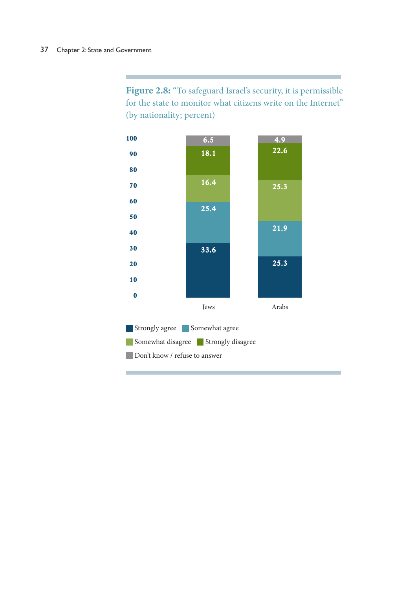Figure 2.8: "To safeguard Israel's security, it is permissible for the state to monitor what citizens write on the Internet" (by nationality; percent)

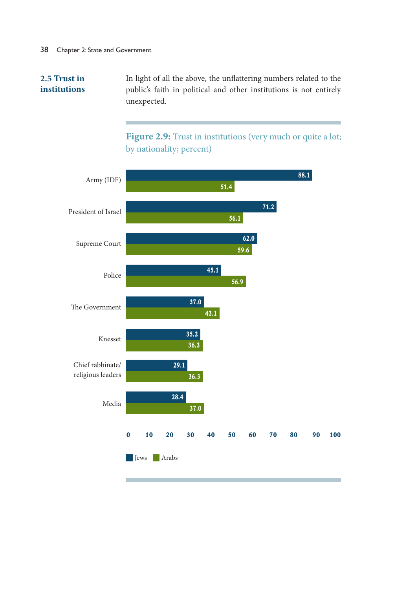# **2.5 Trust in institutions**

In light of all the above, the unflattering numbers related to the public's faith in political and other institutions is not entirely unexpected.

Figure 2.9: Trust in institutions (very much or quite a lot; by nationality; percent)

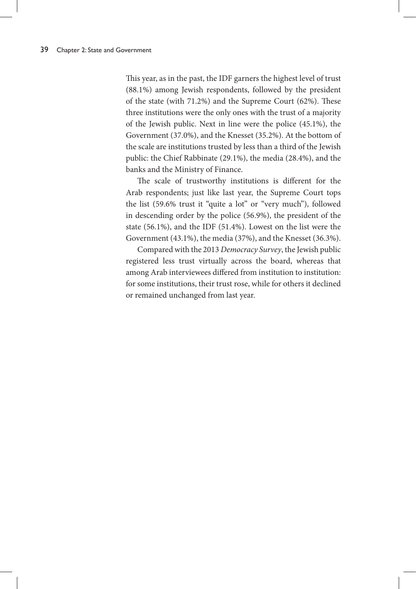This year, as in the past, the IDF garners the highest level of trust (88.1%) among Jewish respondents, followed by the president of the state (with 71.2%) and the Supreme Court (62%). These three institutions were the only ones with the trust of a majority of the Jewish public. Next in line were the police (45.1%), the Government (37.0%), and the Knesset (35.2%). At the bottom of the scale are institutions trusted by less than a third of the Jewish public: the Chief Rabbinate (29.1%), the media (28.4%), and the banks and the Ministry of Finance.

The scale of trustworthy institutions is different for the Arab respondents; just like last year, the Supreme Court tops the list (59.6% trust it "quite a lot" or "very much"), followed in descending order by the police (56.9%), the president of the state (56.1%), and the IDF (51.4%). Lowest on the list were the Government (43.1%), the media (37%), and the Knesset (36.3%).

Compared with the 2013 *Democracy Survey*, the Jewish public registered less trust virtually across the board, whereas that among Arab interviewees differed from institution to institution: for some institutions, their trust rose, while for others it declined or remained unchanged from last year.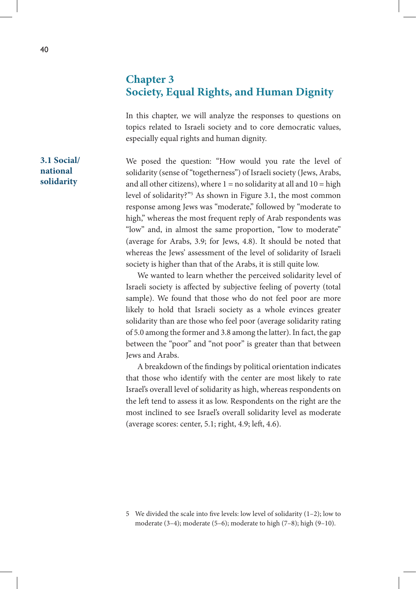# **Chapter 3 Society, Equal Rights, and Human Dignity**

In this chapter, we will analyze the responses to questions on topics related to Israeli society and to core democratic values, especially equal rights and human dignity.

We posed the question: "How would you rate the level of solidarity (sense of "togetherness") of Israeli society (Jews, Arabs, and all other citizens), where  $1 = no$  solidarity at all and  $10 = high$ level of solidarity?"5 As shown in Figure 3.1, the most common response among Jews was "moderate," followed by "moderate to high," whereas the most frequent reply of Arab respondents was "low" and, in almost the same proportion, "low to moderate" (average for Arabs, 3.9; for Jews, 4.8). It should be noted that whereas the Jews' assessment of the level of solidarity of Israeli society is higher than that of the Arabs, it is still quite low.

We wanted to learn whether the perceived solidarity level of Israeli society is affected by subjective feeling of poverty (total sample). We found that those who do not feel poor are more likely to hold that Israeli society as a whole evinces greater solidarity than are those who feel poor (average solidarity rating of 5.0 among the former and 3.8 among the latter). In fact, the gap between the "poor" and "not poor" is greater than that between Jews and Arabs.

A breakdown of the findings by political orientation indicates that those who identify with the center are most likely to rate Israel's overall level of solidarity as high, whereas respondents on the left tend to assess it as low. Respondents on the right are the most inclined to see Israel's overall solidarity level as moderate (average scores: center, 5.1; right, 4.9; left, 4.6).

**3.1 Social/ national solidarity**

<sup>5</sup> We divided the scale into five levels: low level of solidarity (1–2); low to moderate (3–4); moderate (5–6); moderate to high (7–8); high (9–10).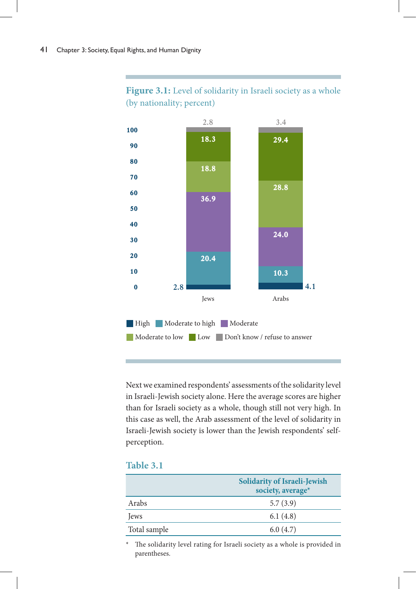

# Figure 3.1: Level of solidarity in Israeli society as a whole (by nationality; percent)

Next we examined respondents' assessments of the solidarity level in Israeli-Jewish society alone. Here the average scores are higher than for Israeli society as a whole, though still not very high. In this case as well, the Arab assessment of the level of solidarity in Israeli-Jewish society is lower than the Jewish respondents' selfperception.

| able - |  |
|--------|--|
|        |  |

|              | <b>Solidarity of Israeli-Jewish</b><br>society, average* |
|--------------|----------------------------------------------------------|
| Arabs        | 5.7(3.9)                                                 |
| lews         | 6.1(4.8)                                                 |
| Total sample | 6.0(4.7)                                                 |

\* The solidarity level rating for Israeli society as a whole is provided in parentheses.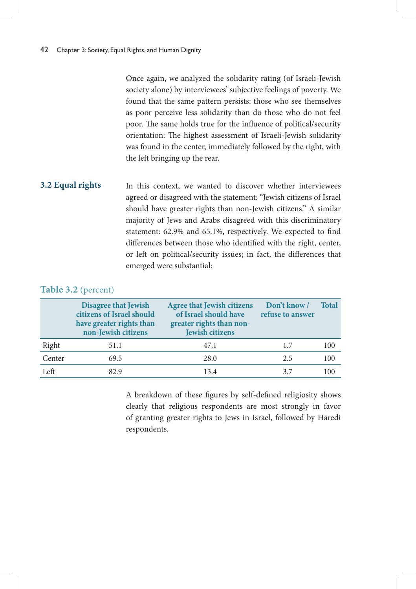Once again, we analyzed the solidarity rating (of Israeli-Jewish society alone) by interviewees' subjective feelings of poverty. We found that the same pattern persists: those who see themselves as poor perceive less solidarity than do those who do not feel poor. The same holds true for the influence of political/security orientation: The highest assessment of Israeli-Jewish solidarity was found in the center, immediately followed by the right, with the left bringing up the rear.

In this context, we wanted to discover whether interviewees agreed or disagreed with the statement: "Jewish citizens of Israel should have greater rights than non-Jewish citizens." A similar majority of Jews and Arabs disagreed with this discriminatory statement: 62.9% and 65.1%, respectively. We expected to find differences between those who identified with the right, center, or left on political/security issues; in fact, the differences that emerged were substantial: **3.2 Equal rights**

# **Table 3.2** (percent)

|        | <b>Disagree that Jewish</b><br>citizens of Israel should<br>have greater rights than<br>non-Jewish citizens | <b>Agree that Jewish citizens</b><br>of Israel should have<br>greater rights than non-<br><b>Jewish citizens</b> | Don't know /<br>refuse to answer | <b>Total</b> |
|--------|-------------------------------------------------------------------------------------------------------------|------------------------------------------------------------------------------------------------------------------|----------------------------------|--------------|
| Right  | 51.1                                                                                                        | 47.1                                                                                                             | 1.7                              | 100          |
| Center | 69.5                                                                                                        | 28.0                                                                                                             | 2.5                              | 100          |
| Left   | 82.9                                                                                                        | 13.4                                                                                                             | 37                               | 100          |

A breakdown of these figures by self-defined religiosity shows clearly that religious respondents are most strongly in favor of granting greater rights to Jews in Israel, followed by Haredi respondents.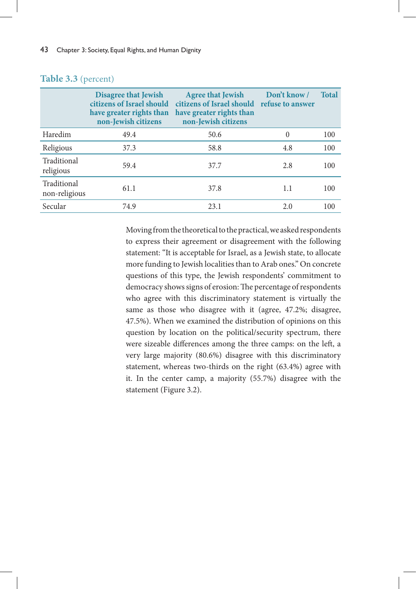|                              | <b>Disagree that Jewish</b><br>citizens of Israel should<br>have greater rights than<br>non-Jewish citizens | <b>Agree that Jewish</b><br>citizens of Israel should<br>have greater rights than<br>non-Jewish citizens | Don't know /<br>refuse to answer | <b>Total</b> |
|------------------------------|-------------------------------------------------------------------------------------------------------------|----------------------------------------------------------------------------------------------------------|----------------------------------|--------------|
| Haredim                      | 49.4                                                                                                        | 50.6                                                                                                     | $\theta$                         | 100          |
| Religious                    | 37.3                                                                                                        | 58.8                                                                                                     | 4.8                              | 100          |
| Traditional<br>religious     | 59.4                                                                                                        | 37.7                                                                                                     | 2.8                              | 100          |
| Traditional<br>non-religious | 61.1                                                                                                        | 37.8                                                                                                     | 1.1                              | 100          |
| Secular                      | 74.9                                                                                                        | 23.1                                                                                                     | 2.0                              | 100          |

# **Table 3.3** (percent)

Moving from the theoretical to the practical, we asked respondents to express their agreement or disagreement with the following statement: "It is acceptable for Israel, as a Jewish state, to allocate more funding to Jewish localities than to Arab ones." On concrete questions of this type, the Jewish respondents' commitment to democracy shows signs of erosion: The percentage of respondents who agree with this discriminatory statement is virtually the same as those who disagree with it (agree, 47.2%; disagree, 47.5%). When we examined the distribution of opinions on this question by location on the political/security spectrum, there were sizeable differences among the three camps: on the left, a very large majority (80.6%) disagree with this discriminatory statement, whereas two-thirds on the right (63.4%) agree with it. In the center camp, a majority (55.7%) disagree with the statement (Figure 3.2).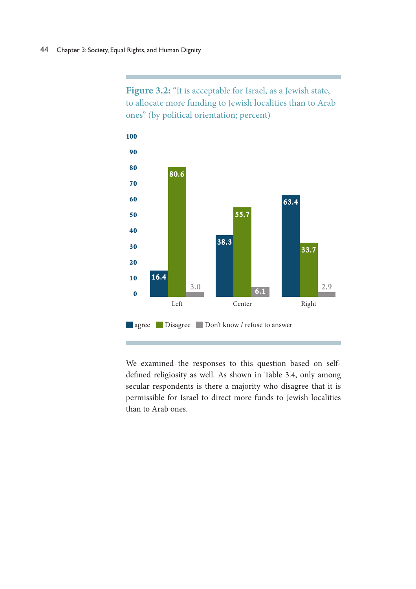Figure 3.2: "It is acceptable for Israel, as a Jewish state, to allocate more funding to Jewish localities than to Arab ones" (by political orientation; percent)



We examined the responses to this question based on selfdefined religiosity as well. As shown in Table 3.4, only among secular respondents is there a majority who disagree that it is permissible for Israel to direct more funds to Jewish localities than to Arab ones.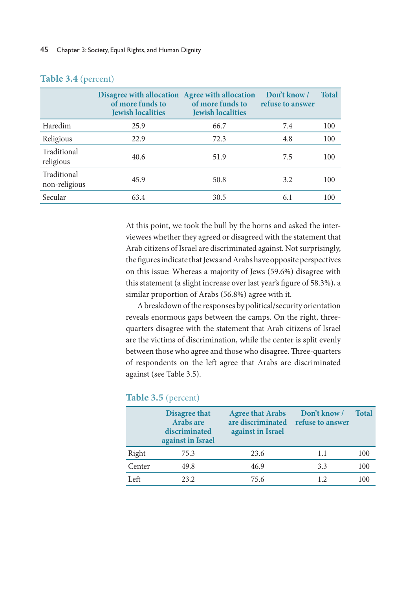|                              | Disagree with allocation Agree with allocation<br>of more funds to<br><b>Jewish localities</b> | of more funds to<br><b>Jewish localities</b> | Don't know /<br>refuse to answer | <b>Total</b> |
|------------------------------|------------------------------------------------------------------------------------------------|----------------------------------------------|----------------------------------|--------------|
| Haredim                      | 25.9                                                                                           | 66.7                                         | 7.4                              | 100          |
| Religious                    | 22.9                                                                                           | 72.3                                         | 4.8                              | 100          |
| Traditional<br>religious     | 40.6                                                                                           | 51.9                                         | 7.5                              | 100          |
| Traditional<br>non-religious | 45.9                                                                                           | 50.8                                         | 3.2                              | 100          |
| Secular                      | 63.4                                                                                           | 30.5                                         | 6.1                              | 100          |

# **Table 3.4** (percent)

At this point, we took the bull by the horns and asked the interviewees whether they agreed or disagreed with the statement that Arab citizens of Israel are discriminated against. Not surprisingly, the figures indicate that Jews and Arabs have opposite perspectives on this issue: Whereas a majority of Jews (59.6%) disagree with this statement (a slight increase over last year's figure of 58.3%), a similar proportion of Arabs (56.8%) agree with it.

A breakdown of the responses by political/security orientation reveals enormous gaps between the camps. On the right, threequarters disagree with the statement that Arab citizens of Israel are the victims of discrimination, while the center is split evenly between those who agree and those who disagree. Three-quarters of respondents on the left agree that Arabs are discriminated against (see Table 3.5).

# **Table 3.5** (percent)

|        | <b>Disagree that</b><br><b>Arabs are</b><br>discriminated<br>against in Israel | <b>Agree that Arabs</b><br>are discriminated<br>against in Israel | Don't know /<br>refuse to answer | <b>Total</b> |
|--------|--------------------------------------------------------------------------------|-------------------------------------------------------------------|----------------------------------|--------------|
| Right  | 75.3                                                                           | 23.6                                                              | 1.1                              | 100          |
| Center | 49.8                                                                           | 46.9                                                              | 3.3                              | 100          |
| Left   | 23.2                                                                           | 75.6                                                              | 12                               | 100          |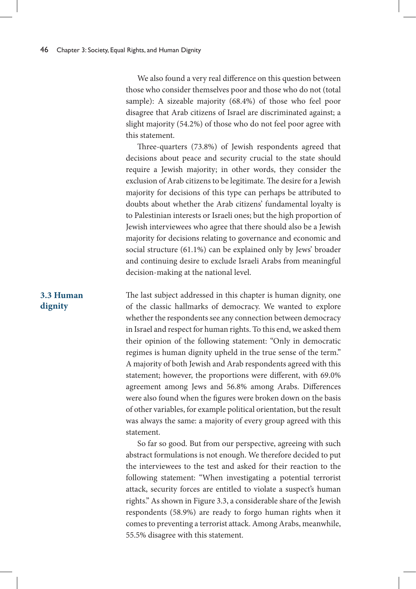We also found a very real difference on this question between those who consider themselves poor and those who do not (total sample): A sizeable majority (68.4%) of those who feel poor disagree that Arab citizens of Israel are discriminated against; a slight majority (54.2%) of those who do not feel poor agree with this statement.

Three-quarters (73.8%) of Jewish respondents agreed that decisions about peace and security crucial to the state should require a Jewish majority; in other words, they consider the exclusion of Arab citizens to be legitimate. The desire for a Jewish majority for decisions of this type can perhaps be attributed to doubts about whether the Arab citizens' fundamental loyalty is to Palestinian interests or Israeli ones; but the high proportion of Jewish interviewees who agree that there should also be a Jewish majority for decisions relating to governance and economic and social structure (61.1%) can be explained only by Jews' broader and continuing desire to exclude Israeli Arabs from meaningful decision-making at the national level.

The last subject addressed in this chapter is human dignity, one of the classic hallmarks of democracy. We wanted to explore whether the respondents see any connection between democracy in Israel and respect for human rights. To this end, we asked them their opinion of the following statement: "Only in democratic regimes is human dignity upheld in the true sense of the term." A majority of both Jewish and Arab respondents agreed with this statement; however, the proportions were different, with 69.0% agreement among Jews and 56.8% among Arabs. Differences were also found when the figures were broken down on the basis of other variables, for example political orientation, but the result was always the same: a majority of every group agreed with this statement.

So far so good. But from our perspective, agreeing with such abstract formulations is not enough. We therefore decided to put the interviewees to the test and asked for their reaction to the following statement: "When investigating a potential terrorist attack, security forces are entitled to violate a suspect's human rights." As shown in Figure 3.3, a considerable share of the Jewish respondents (58.9%) are ready to forgo human rights when it comes to preventing a terrorist attack. Among Arabs, meanwhile, 55.5% disagree with this statement.

# **3.3 Human dignity**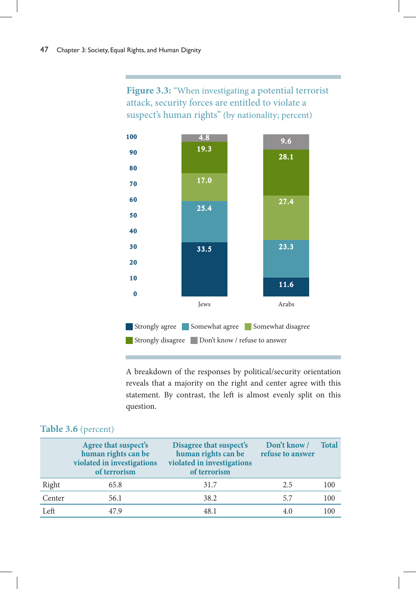Figure 3.3: "When investigating a potential terrorist attack, security forces are entitled to violate a suspect's human rights" (by nationality; percent)



A breakdown of the responses by political/security orientation reveals that a majority on the right and center agree with this statement. By contrast, the left is almost evenly split on this question.

|        | Agree that suspect's<br>human rights can be<br>violated in investigations<br>of terrorism | Disagree that suspect's<br>human rights can be<br>violated in investigations<br>of terrorism | Don't know /<br>refuse to answer | <b>Total</b> |
|--------|-------------------------------------------------------------------------------------------|----------------------------------------------------------------------------------------------|----------------------------------|--------------|
| Right  | 65.8                                                                                      | 31.7                                                                                         | 2.5                              | 100          |
| Center | 56.1                                                                                      | 38.2                                                                                         | 5.7                              | 100          |
| Left   | 47 9                                                                                      | 48.1                                                                                         | 4.0                              | 100          |

# **Table 3.6** (percent)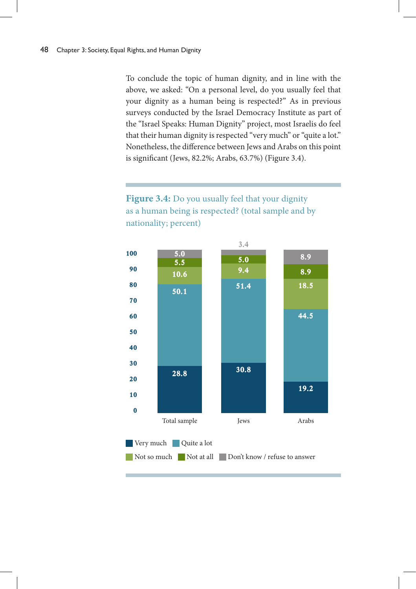To conclude the topic of human dignity, and in line with the above, we asked: "On a personal level, do you usually feel that your dignity as a human being is respected?" As in previous surveys conducted by the Israel Democracy Institute as part of the "Israel Speaks: Human Dignity" project, most Israelis do feel that their human dignity is respected "very much" or "quite a lot." Nonetheless, the difference between Jews and Arabs on this point is significant (Jews, 82.2%; Arabs, 63.7%) (Figure 3.4).

# **Figure 3.4:** Do you usually feel that your dignity as a human being is respected? (total sample and by nationality; percent)

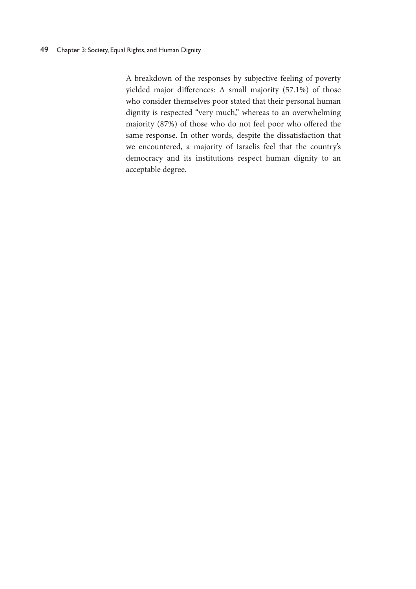A breakdown of the responses by subjective feeling of poverty yielded major differences: A small majority (57.1%) of those who consider themselves poor stated that their personal human dignity is respected "very much," whereas to an overwhelming majority (87%) of those who do not feel poor who offered the same response. In other words, despite the dissatisfaction that we encountered, a majority of Israelis feel that the country's democracy and its institutions respect human dignity to an acceptable degree.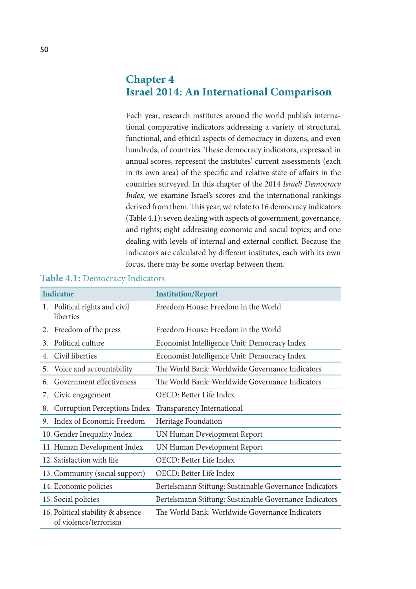# **Chapter 4 Israel 2014: An International Comparison**

Each year, research institutes around the world publish international comparative indicators addressing a variety of structural, functional, and ethical aspects of democracy in dozens, and even hundreds, of countries. These democracy indicators, expressed in annual scores, represent the institutes' current assessments (each in its own area) of the specific and relative state of affairs in the countries surveyed. In this chapter of the 2014 *Israeli Democracy Index*, we examine Israel's scores and the international rankings derived from them. This year, we relate to 16 democracy indicators (Table 4.1): seven dealing with aspects of government, governance, and rights; eight addressing economic and social topics; and one dealing with levels of internal and external conflict. Because the indicators are calculated by different institutes, each with its own focus, there may be some overlap between them.

| <b>Indicator</b> |                                                            | <b>Institution/Report</b>                               |
|------------------|------------------------------------------------------------|---------------------------------------------------------|
| 1.               | Political rights and civil<br>liberties                    | Freedom House: Freedom in the World                     |
| 2.               | Freedom of the press                                       | Freedom House: Freedom in the World                     |
| 3.               | Political culture                                          | Economist Intelligence Unit: Democracy Index            |
| 4.               | Civil liberties                                            | Economist Intelligence Unit: Democracy Index            |
| 5.               | Voice and accountability                                   | The World Bank: Worldwide Governance Indicators         |
| 6.               | Government effectiveness                                   | The World Bank: Worldwide Governance Indicators         |
| 7.               | Civic engagement                                           | OECD: Better Life Index                                 |
| 8.               | Corruption Perceptions Index                               | Transparency International                              |
| 9.               | Index of Economic Freedom                                  | Heritage Foundation                                     |
|                  | 10. Gender Inequality Index                                | UN Human Development Report                             |
|                  | 11. Human Development Index                                | UN Human Development Report                             |
|                  | 12. Satisfaction with life                                 | OECD: Better Life Index                                 |
|                  | 13. Community (social support)                             | OECD: Better Life Index                                 |
|                  | 14. Economic policies                                      | Bertelsmann Stiftung: Sustainable Governance Indicators |
|                  | 15. Social policies                                        | Bertelsmann Stiftung: Sustainable Governance Indicators |
|                  | 16. Political stability & absence<br>of violence/terrorism | The World Bank: Worldwide Governance Indicators         |

### **Table 4.1:** Democracy Indicators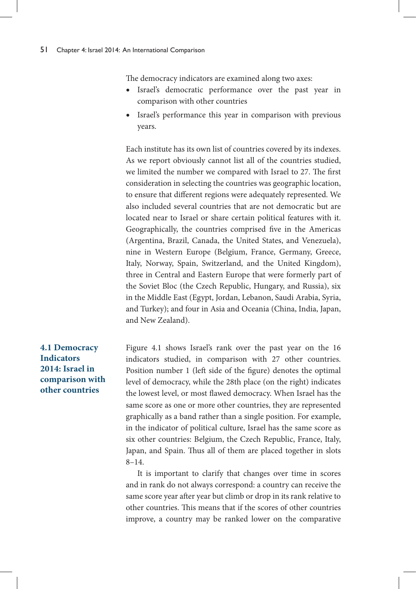The democracy indicators are examined along two axes:

- Israel's democratic performance over the past year in comparison with other countries
- Israel's performance this year in comparison with previous years.

Each institute has its own list of countries covered by its indexes. As we report obviously cannot list all of the countries studied, we limited the number we compared with Israel to 27. The first consideration in selecting the countries was geographic location, to ensure that different regions were adequately represented. We also included several countries that are not democratic but are located near to Israel or share certain political features with it. Geographically, the countries comprised five in the Americas (Argentina, Brazil, Canada, the United States, and Venezuela), nine in Western Europe (Belgium, France, Germany, Greece, Italy, Norway, Spain, Switzerland, and the United Kingdom), three in Central and Eastern Europe that were formerly part of the Soviet Bloc (the Czech Republic, Hungary, and Russia), six in the Middle East (Egypt, Jordan, Lebanon, Saudi Arabia, Syria, and Turkey); and four in Asia and Oceania (China, India, Japan, and New Zealand).

Figure 4.1 shows Israel's rank over the past year on the 16 indicators studied, in comparison with 27 other countries. Position number 1 (left side of the figure) denotes the optimal level of democracy, while the 28th place (on the right) indicates the lowest level, or most flawed democracy. When Israel has the same score as one or more other countries, they are represented graphically as a band rather than a single position. For example, in the indicator of political culture, Israel has the same score as six other countries: Belgium, the Czech Republic, France, Italy, Japan, and Spain. Thus all of them are placed together in slots 8–14.

It is important to clarify that changes over time in scores and in rank do not always correspond: a country can receive the same score year after year but climb or drop in its rank relative to other countries. This means that if the scores of other countries improve, a country may be ranked lower on the comparative

# **4.1 Democracy Indicators 2014: Israel in comparison with other countries**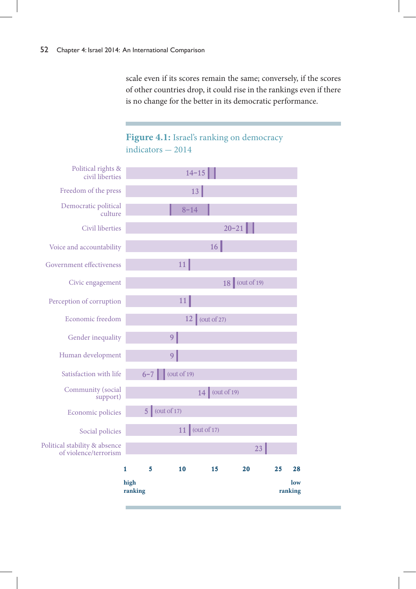scale even if its scores remain the same; conversely, if the scores of other countries drop, it could rise in the rankings even if there is no change for the better in its democratic performance.

# Figure 4.1: Israel's ranking on democracy  $indicators - 2014$

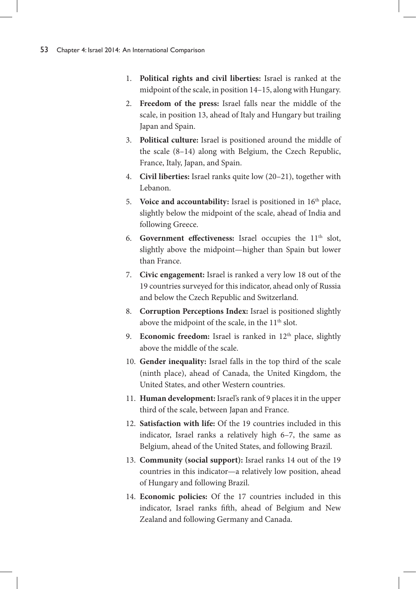- 1. **Political rights and civil liberties:** Israel is ranked at the midpoint of the scale, in position 14–15, along with Hungary.
- 2. **Freedom of the press:** Israel falls near the middle of the scale, in position 13, ahead of Italy and Hungary but trailing Japan and Spain.
- 3. **Political culture:** Israel is positioned around the middle of the scale (8–14) along with Belgium, the Czech Republic, France, Italy, Japan, and Spain.
- 4. **Civil liberties:** Israel ranks quite low (20–21), together with Lebanon.
- 5. **Voice and accountability:** Israel is positioned in 16<sup>th</sup> place, slightly below the midpoint of the scale, ahead of India and following Greece.
- 6. Government effectiveness: Israel occupies the 11<sup>th</sup> slot, slightly above the midpoint—higher than Spain but lower than France.
- 7. **Civic engagement:** Israel is ranked a very low 18 out of the 19 countries surveyed for this indicator, ahead only of Russia and below the Czech Republic and Switzerland.
- 8. **Corruption Perceptions Index:** Israel is positioned slightly above the midpoint of the scale, in the 11<sup>th</sup> slot.
- 9. **Economic freedom:** Israel is ranked in 12<sup>th</sup> place, slightly above the middle of the scale.
- 10. **Gender inequality:** Israel falls in the top third of the scale (ninth place), ahead of Canada, the United Kingdom, the United States, and other Western countries.
- 11. **Human development:** Israel's rank of 9 places it in the upper third of the scale, between Japan and France.
- 12. **Satisfaction with life:** Of the 19 countries included in this indicator, Israel ranks a relatively high 6–7, the same as Belgium, ahead of the United States, and following Brazil.
- 13. **Community (social support):** Israel ranks 14 out of the 19 countries in this indicator—a relatively low position, ahead of Hungary and following Brazil.
- 14. **Economic policies:** Of the 17 countries included in this indicator, Israel ranks fifth, ahead of Belgium and New Zealand and following Germany and Canada.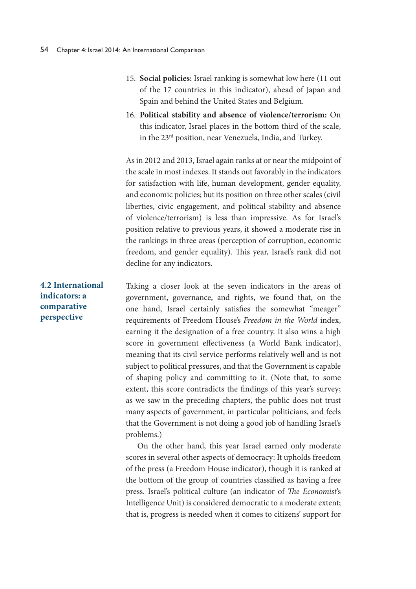- 15. **Social policies:** Israel ranking is somewhat low here (11 out of the 17 countries in this indicator), ahead of Japan and Spain and behind the United States and Belgium.
- 16. **Political stability and absence of violence/terrorism:** On this indicator, Israel places in the bottom third of the scale, in the 23rd position, near Venezuela, India, and Turkey.

As in 2012 and 2013, Israel again ranks at or near the midpoint of the scale in most indexes. It stands out favorably in the indicators for satisfaction with life, human development, gender equality, and economic policies; but its position on three other scales (civil liberties, civic engagement, and political stability and absence of violence/terrorism) is less than impressive. As for Israel's position relative to previous years, it showed a moderate rise in the rankings in three areas (perception of corruption, economic freedom, and gender equality). This year, Israel's rank did not decline for any indicators.

Taking a closer look at the seven indicators in the areas of government, governance, and rights, we found that, on the one hand, Israel certainly satisfies the somewhat "meager" requirements of Freedom House's *Freedom in the World* index, earning it the designation of a free country. It also wins a high score in government effectiveness (a World Bank indicator), meaning that its civil service performs relatively well and is not subject to political pressures, and that the Government is capable of shaping policy and committing to it. (Note that, to some extent, this score contradicts the findings of this year's survey; as we saw in the preceding chapters, the public does not trust many aspects of government, in particular politicians, and feels that the Government is not doing a good job of handling Israel's problems.)

On the other hand, this year Israel earned only moderate scores in several other aspects of democracy: It upholds freedom of the press (a Freedom House indicator), though it is ranked at the bottom of the group of countries classified as having a free press. Israel's political culture (an indicator of *The Economist*'s Intelligence Unit) is considered democratic to a moderate extent; that is, progress is needed when it comes to citizens' support for

**4.2 International indicators: a comparative perspective**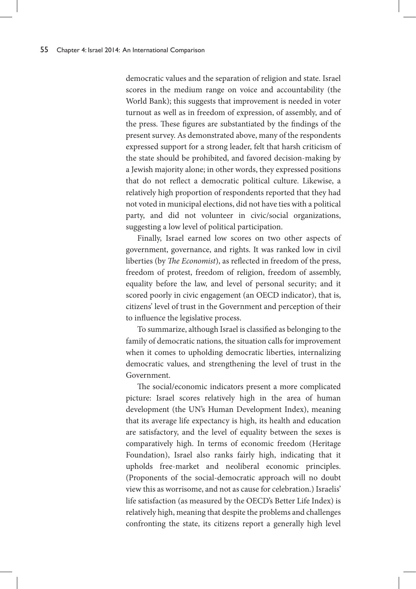democratic values and the separation of religion and state. Israel scores in the medium range on voice and accountability (the World Bank); this suggests that improvement is needed in voter turnout as well as in freedom of expression, of assembly, and of the press. These figures are substantiated by the findings of the present survey. As demonstrated above, many of the respondents expressed support for a strong leader, felt that harsh criticism of the state should be prohibited, and favored decision-making by a Jewish majority alone; in other words, they expressed positions that do not reflect a democratic political culture. Likewise, a relatively high proportion of respondents reported that they had not voted in municipal elections, did not have ties with a political party, and did not volunteer in civic/social organizations, suggesting a low level of political participation.

Finally, Israel earned low scores on two other aspects of government, governance, and rights. It was ranked low in civil liberties (by *The Economist*), as reflected in freedom of the press, freedom of protest, freedom of religion, freedom of assembly, equality before the law, and level of personal security; and it scored poorly in civic engagement (an OECD indicator), that is, citizens' level of trust in the Government and perception of their to influence the legislative process.

To summarize, although Israel is classified as belonging to the family of democratic nations, the situation calls for improvement when it comes to upholding democratic liberties, internalizing democratic values, and strengthening the level of trust in the Government.

The social/economic indicators present a more complicated picture: Israel scores relatively high in the area of human development (the UN's Human Development Index), meaning that its average life expectancy is high, its health and education are satisfactory, and the level of equality between the sexes is comparatively high. In terms of economic freedom (Heritage Foundation), Israel also ranks fairly high, indicating that it upholds free-market and neoliberal economic principles. (Proponents of the social-democratic approach will no doubt view this as worrisome, and not as cause for celebration.) Israelis' life satisfaction (as measured by the OECD's Better Life Index) is relatively high, meaning that despite the problems and challenges confronting the state, its citizens report a generally high level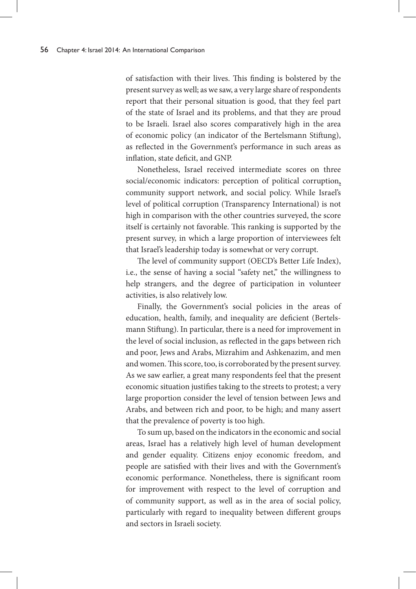of satisfaction with their lives. This finding is bolstered by the present survey as well; as we saw, a very large share of respondents report that their personal situation is good, that they feel part of the state of Israel and its problems, and that they are proud to be Israeli. Israel also scores comparatively high in the area of economic policy (an indicator of the Bertelsmann Stiftung), as reflected in the Government's performance in such areas as inflation, state deficit, and GNP.

Nonetheless, Israel received intermediate scores on three social/economic indicators: perception of political corruption, community support network, and social policy. While Israel's level of political corruption (Transparency International) is not high in comparison with the other countries surveyed, the score itself is certainly not favorable. This ranking is supported by the present survey, in which a large proportion of interviewees felt that Israel's leadership today is somewhat or very corrupt.

The level of community support (OECD's Better Life Index), i.e., the sense of having a social "safety net," the willingness to help strangers, and the degree of participation in volunteer activities, is also relatively low.

Finally, the Government's social policies in the areas of education, health, family, and inequality are deficient (Bertelsmann Stiftung). In particular, there is a need for improvement in the level of social inclusion, as reflected in the gaps between rich and poor, Jews and Arabs, Mizrahim and Ashkenazim, and men and women. This score, too, is corroborated by the present survey. As we saw earlier, a great many respondents feel that the present economic situation justifies taking to the streets to protest; a very large proportion consider the level of tension between Jews and Arabs, and between rich and poor, to be high; and many assert that the prevalence of poverty is too high.

To sum up, based on the indicators in the economic and social areas, Israel has a relatively high level of human development and gender equality. Citizens enjoy economic freedom, and people are satisfied with their lives and with the Government's economic performance. Nonetheless, there is significant room for improvement with respect to the level of corruption and of community support, as well as in the area of social policy, particularly with regard to inequality between different groups and sectors in Israeli society.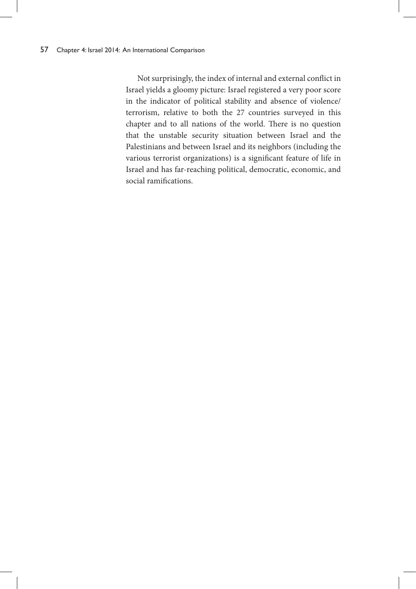Not surprisingly, the index of internal and external conflict in Israel yields a gloomy picture: Israel registered a very poor score in the indicator of political stability and absence of violence/ terrorism, relative to both the 27 countries surveyed in this chapter and to all nations of the world. There is no question that the unstable security situation between Israel and the Palestinians and between Israel and its neighbors (including the various terrorist organizations) is a significant feature of life in Israel and has far-reaching political, democratic, economic, and social ramifications.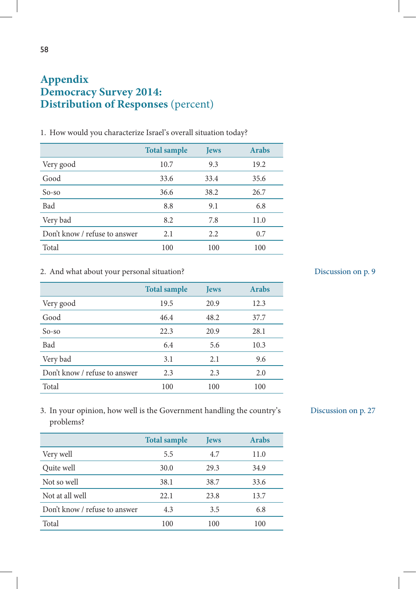# **Appendix Democracy Survey 2014: Distribution of Responses** (percent)

|                               | <b>Total sample</b> | <b>Jews</b> | <b>Arabs</b> |
|-------------------------------|---------------------|-------------|--------------|
| Very good                     | 10.7                | 9.3         | 19.2         |
| Good                          | 33.6                | 33.4        | 35.6         |
| $So$ -so                      | 36.6                | 38.2        | 26.7         |
| Bad                           | 8.8                 | 9.1         | 6.8          |
| Very bad                      | 8.2                 | 7.8         | 11.0         |
| Don't know / refuse to answer | 2.1                 | 2.2         | 0.7          |
| Total                         | 100                 | 100         | 100          |

1. How would you characterize Israel's overall situation today?

### 2. And what about your personal situation?

|                               | <b>Total sample</b> | <b>Jews</b> | <b>Arabs</b> |
|-------------------------------|---------------------|-------------|--------------|
| Very good                     | 19.5                | 20.9        | 12.3         |
| Good                          | 46.4                | 48.2        | 37.7         |
| $So$ -so                      | 22.3                | 20.9        | 28.1         |
| Bad                           | 6.4                 | 5.6         | 10.3         |
| Very bad                      | 3.1                 | 2.1         | 9.6          |
| Don't know / refuse to answer | 2.3                 | 2.3         | 2.0          |
| Total                         | 100                 | 100         | 100          |

# Discussion on p. 9

3. In your opinion, how well is the Government handling the country's problems?

|                               | <b>Total sample</b> | <b>Jews</b> | <b>Arabs</b> |
|-------------------------------|---------------------|-------------|--------------|
| Very well                     | 5.5                 | 4.7         | 11.0         |
| Quite well                    | 30.0                | 29.3        | 34.9         |
| Not so well                   | 38.1                | 38.7        | 33.6         |
| Not at all well               | 22.1                | 23.8        | 13.7         |
| Don't know / refuse to answer | 4.3                 | 3.5         | 6.8          |
| Total                         | 100                 | 100         | 100          |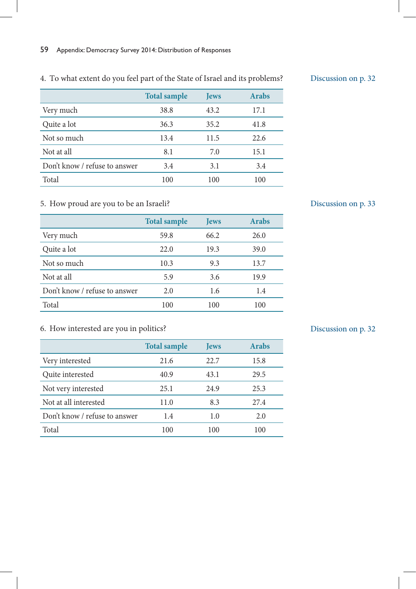# 4. To what extent do you feel part of the State of Israel and its problems?

|                               | <b>Total sample</b> | <b>Jews</b> | <b>Arabs</b> |
|-------------------------------|---------------------|-------------|--------------|
| Very much                     | 38.8                | 43.2        | 17.1         |
| Quite a lot                   | 36.3                | 35.2        | 41.8         |
| Not so much                   | 13.4                | 11.5        | 22.6         |
| Not at all                    | 8.1                 | 7.0         | 15.1         |
| Don't know / refuse to answer | 3.4                 | 3.1         | 3.4          |
| Total                         | 100                 | 100         | 100          |

# 5. How proud are you to be an Israeli?

|                               | <b>Total sample</b> | <b>Jews</b> | <b>Arabs</b> |
|-------------------------------|---------------------|-------------|--------------|
| Very much                     | 59.8                | 66.2        | 26.0         |
| Quite a lot                   | 22.0                | 19.3        | 39.0         |
| Not so much                   | 10.3                | 9.3         | 13.7         |
| Not at all                    | 5.9                 | 3.6         | 19.9         |
| Don't know / refuse to answer | 2.0                 | 1.6         | 1.4          |
| Total                         | 100                 | 100         | 100          |

# 6. How interested are you in politics?

|                               | <b>Total sample</b> | <b>Jews</b> | <b>Arabs</b> |
|-------------------------------|---------------------|-------------|--------------|
| Very interested               | 21.6                | 22.7        | 15.8         |
| Quite interested              | 40.9                | 43.1        | 29.5         |
| Not very interested           | 25.1                | 24.9        | 25.3         |
| Not at all interested         | 11.0                | 8.3         | 27.4         |
| Don't know / refuse to answer | 1.4                 | 1.0         | 2.0          |
| Total                         | 100                 | 100         | 100          |

# Discussion on p. 32

Discussion on p. 33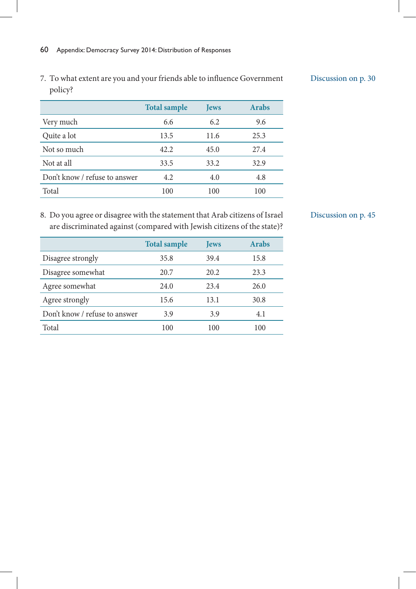7. To what extent are you and your friends able to influence Government policy?

### Discussion on p. 30

|                               | <b>Total sample</b> | <b>Jews</b> | <b>Arabs</b> |
|-------------------------------|---------------------|-------------|--------------|
| Very much                     | 6.6                 | 6.2         | 9.6          |
| Quite a lot                   | 13.5                | 11.6        | 25.3         |
| Not so much                   | 42.2                | 45.0        | 27.4         |
| Not at all                    | 33.5                | 33.2        | 32.9         |
| Don't know / refuse to answer | 4.2                 | 4.0         | 4.8          |
| Total                         | 100                 | 100         | 100          |

8. Do you agree or disagree with the statement that Arab citizens of Israel are discriminated against (compared with Jewish citizens of the state)?

|                               | <b>Total sample</b> | <b>Jews</b> | <b>Arabs</b> |
|-------------------------------|---------------------|-------------|--------------|
| Disagree strongly             | 35.8                | 39.4        | 15.8         |
| Disagree somewhat             | 20.7                | 20.2        | 23.3         |
| Agree somewhat                | 24.0                | 23.4        | 26.0         |
| Agree strongly                | 15.6                | 13.1        | 30.8         |
| Don't know / refuse to answer | 3.9                 | 3.9         | 4.1          |
| Total                         | 100                 | 100         | 100          |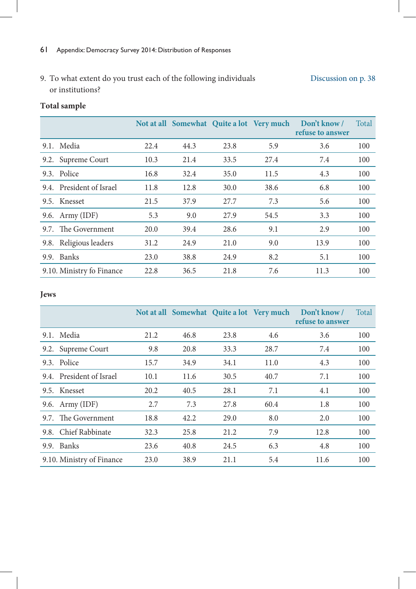9. To what extent do you trust each of the following individuals or institutions? Discussion on p. 38

# **Total sample**

|      |                           |      |      |      | Not at all Somewhat Quite a lot Very much | Don't know /<br>refuse to answer | Total |
|------|---------------------------|------|------|------|-------------------------------------------|----------------------------------|-------|
|      | 9.1. Media                | 22.4 | 44.3 | 23.8 | 5.9                                       | 3.6                              | 100   |
| 9.2. | Supreme Court             | 10.3 | 21.4 | 33.5 | 27.4                                      | 7.4                              | 100   |
|      | 9.3. Police               | 16.8 | 32.4 | 35.0 | 11.5                                      | 4.3                              | 100   |
|      | 9.4. President of Israel  | 11.8 | 12.8 | 30.0 | 38.6                                      | 6.8                              | 100   |
|      | 9.5. Knesset              | 21.5 | 37.9 | 27.7 | 7.3                                       | 5.6                              | 100   |
|      | 9.6. Army (IDF)           | 5.3  | 9.0  | 27.9 | 54.5                                      | 3.3                              | 100   |
|      | 9.7. The Government       | 20.0 | 39.4 | 28.6 | 9.1                                       | 2.9                              | 100   |
|      | 9.8. Religious leaders    | 31.2 | 24.9 | 21.0 | 9.0                                       | 13.9                             | 100   |
| 9.9. | Banks                     | 23.0 | 38.8 | 24.9 | 8.2                                       | 5.1                              | 100   |
|      | 9.10. Ministry fo Finance | 22.8 | 36.5 | 21.8 | 7.6                                       | 11.3                             | 100   |

# **Jews**

|                           |      |      |      |      | Not at all Somewhat Quite a lot Very much Don't know /<br>refuse to answer | Total |
|---------------------------|------|------|------|------|----------------------------------------------------------------------------|-------|
| 9.1. Media                | 21.2 | 46.8 | 23.8 | 4.6  | 3.6                                                                        | 100   |
| 9.2. Supreme Court        | 9.8  | 20.8 | 33.3 | 28.7 | 7.4                                                                        | 100   |
| 9.3. Police               | 15.7 | 34.9 | 34.1 | 11.0 | 4.3                                                                        | 100   |
| 9.4. President of Israel  | 10.1 | 11.6 | 30.5 | 40.7 | 7.1                                                                        | 100   |
| 9.5. Knesset              | 20.2 | 40.5 | 28.1 | 7.1  | 4.1                                                                        | 100   |
| 9.6. Army (IDF)           | 2.7  | 7.3  | 27.8 | 60.4 | 1.8                                                                        | 100   |
| 9.7. The Government       | 18.8 | 42.2 | 29.0 | 8.0  | 2.0                                                                        | 100   |
| 9.8. Chief Rabbinate      | 32.3 | 25.8 | 21.2 | 7.9  | 12.8                                                                       | 100   |
| 9.9. Banks                | 23.6 | 40.8 | 24.5 | 6.3  | 4.8                                                                        | 100   |
| 9.10. Ministry of Finance | 23.0 | 38.9 | 21.1 | 5.4  | 11.6                                                                       | 100   |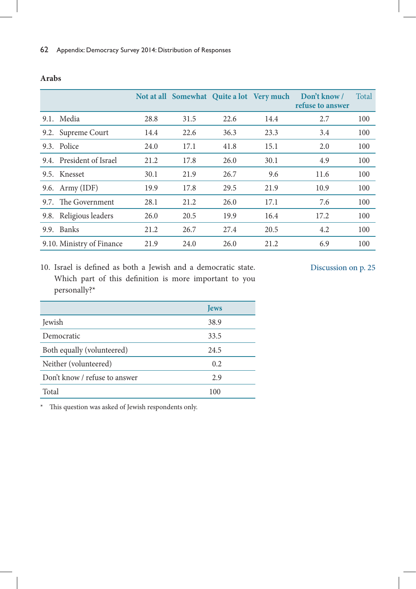|                           |      |      |      | Not at all Somewhat Quite a lot Very much | Don't know /<br>refuse to answer | Total |
|---------------------------|------|------|------|-------------------------------------------|----------------------------------|-------|
| 9.1. Media                | 28.8 | 31.5 | 22.6 | 14.4                                      | 2.7                              | 100   |
| 9.2. Supreme Court        | 14.4 | 22.6 | 36.3 | 23.3                                      | 3.4                              | 100   |
| 9.3. Police               | 24.0 | 17.1 | 41.8 | 15.1                                      | 2.0                              | 100   |
| 9.4. President of Israel  | 21.2 | 17.8 | 26.0 | 30.1                                      | 4.9                              | 100   |
| 9.5. Knesset              | 30.1 | 21.9 | 26.7 | 9.6                                       | 11.6                             | 100   |
| 9.6. Army (IDF)           | 19.9 | 17.8 | 29.5 | 21.9                                      | 10.9                             | 100   |
| 9.7. The Government       | 28.1 | 21.2 | 26.0 | 17.1                                      | 7.6                              | 100   |
| 9.8. Religious leaders    | 26.0 | 20.5 | 19.9 | 16.4                                      | 17.2                             | 100   |
| 9.9. Banks                | 21.2 | 26.7 | 27.4 | 20.5                                      | 4.2                              | 100   |
| 9.10. Ministry of Finance | 21.9 | 24.0 | 26.0 | 21.2                                      | 6.9                              | 100   |

### **Arabs**

10. Israel is defined as both a Jewish and a democratic state. Which part of this definition is more important to you personally?\*

### Discussion on p. 25

|                               | <b>Jews</b> |
|-------------------------------|-------------|
| Jewish                        | 38.9        |
| Democratic                    | 33.5        |
| Both equally (volunteered)    | 24.5        |
| Neither (volunteered)         | 0.2         |
| Don't know / refuse to answer | 2.9         |
| Total                         | 100         |

\* This question was asked of Jewish respondents only.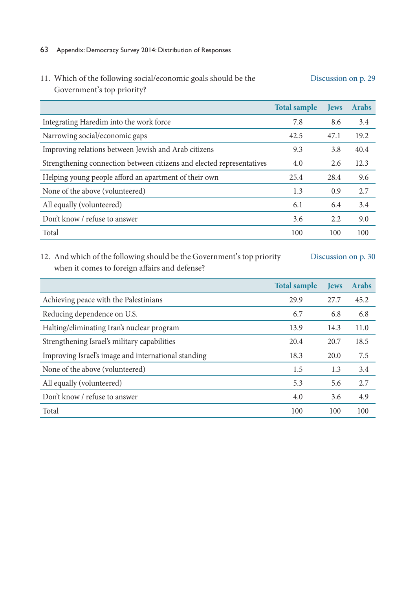#### 11. Which of the following social/economic goals should be the Government's top priority? Discussion on p. 29

|                                                                       | <b>Total sample</b> | <b>Tews</b> | <b>Arabs</b> |
|-----------------------------------------------------------------------|---------------------|-------------|--------------|
| Integrating Haredim into the work force                               | 7.8                 | 8.6         | 3.4          |
| Narrowing social/economic gaps                                        | 42.5                | 47.1        | 19.2         |
| Improving relations between Jewish and Arab citizens                  | 9.3                 | 3.8         | 40.4         |
| Strengthening connection between citizens and elected representatives | 4.0                 | 2.6         | 12.3         |
| Helping young people afford an apartment of their own                 | 25.4                | 28.4        | 9.6          |
| None of the above (volunteered)                                       | 1.3                 | 0.9         | 2.7          |
| All equally (volunteered)                                             | 6.1                 | 6.4         | 3.4          |
| Don't know / refuse to answer                                         | 3.6                 | 2.2         | 9.0          |
| Total                                                                 | 100                 | 100         | 100          |

# 12. And which of the following should be the Government's top priority when it comes to foreign affairs and defense?

|                                                     | <b>Total sample</b> | <b>Tews</b> | <b>Arabs</b> |
|-----------------------------------------------------|---------------------|-------------|--------------|
| Achieving peace with the Palestinians               | 29.9                | 27.7        | 45.2         |
| Reducing dependence on U.S.                         | 6.7                 | 6.8         | 6.8          |
| Halting/eliminating Iran's nuclear program          | 13.9                | 14.3        | 11.0         |
| Strengthening Israel's military capabilities        | 20.4                | 20.7        | 18.5         |
| Improving Israel's image and international standing | 18.3                | 20.0        | 7.5          |
| None of the above (volunteered)                     | 1.5                 | 1.3         | 3.4          |
| All equally (volunteered)                           | 5.3                 | 5.6         | 2.7          |
| Don't know / refuse to answer                       | 4.0                 | 3.6         | 4.9          |
| Total                                               | 100                 | 100         | 100          |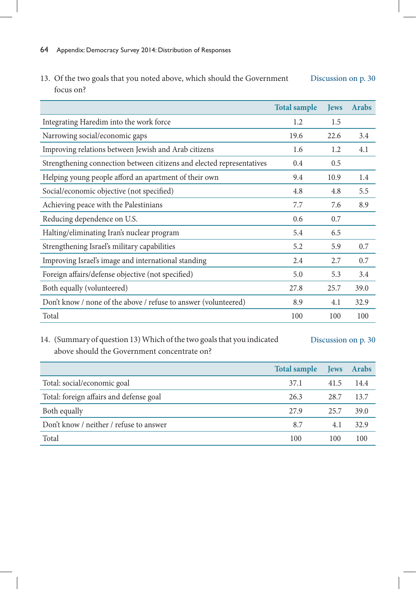13. Of the two goals that you noted above, which should the Government focus on? Discussion on p. 30

|                                                                       | <b>Total sample</b> | <b>Jews</b> | <b>Arabs</b> |
|-----------------------------------------------------------------------|---------------------|-------------|--------------|
| Integrating Haredim into the work force                               | 1.2                 | 1.5         |              |
| Narrowing social/economic gaps                                        | 19.6                | 22.6        | 3.4          |
| Improving relations between Jewish and Arab citizens                  | 1.6                 | 1.2         | 4.1          |
| Strengthening connection between citizens and elected representatives | 0.4                 | 0.5         |              |
| Helping young people afford an apartment of their own                 | 9.4                 | 10.9        | 1.4          |
| Social/economic objective (not specified)                             | 4.8                 | 4.8         | 5.5          |
| Achieving peace with the Palestinians                                 | 7.7                 | 7.6         | 8.9          |
| Reducing dependence on U.S.                                           | 0.6                 | 0.7         |              |
| Halting/eliminating Iran's nuclear program                            | 5.4                 | 6.5         |              |
| Strengthening Israel's military capabilities                          | 5.2                 | 5.9         | 0.7          |
| Improving Israel's image and international standing                   | 2.4                 | 2.7         | 0.7          |
| Foreign affairs/defense objective (not specified)                     | 5.0                 | 5.3         | 3.4          |
| Both equally (volunteered)                                            | 27.8                | 25.7        | 39.0         |
| Don't know / none of the above / refuse to answer (volunteered)       | 8.9                 | 4.1         | 32.9         |
| Total                                                                 | 100                 | 100         | 100          |

# 14. (Summary of question 13) Which of the two goals that you indicated above should the Government concentrate on?

|                                         | <b>Total sample</b> | <b>Jews</b> | <b>Arabs</b> |
|-----------------------------------------|---------------------|-------------|--------------|
| Total: social/economic goal             | 37.1                | 41.5        | 14.4         |
| Total: foreign affairs and defense goal | 26.3                | 28.7        | 13.7         |
| Both equally                            | 27.9                | 25.7        | 39.0         |
| Don't know / neither / refuse to answer | 8.7                 | 4.1         | 32.9         |
| Total                                   | 100                 | 100         | 100          |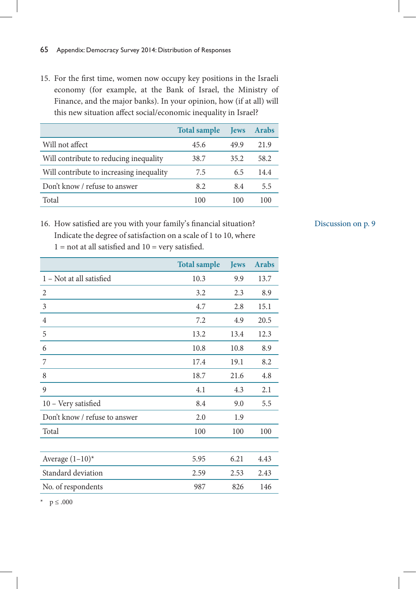15. For the first time, women now occupy key positions in the Israeli economy (for example, at the Bank of Israel, the Ministry of Finance, and the major banks). In your opinion, how (if at all) will this new situation affect social/economic inequality in Israel?

|                                          | <b>Total sample</b> | <b>Tews</b> | <b>Arabs</b> |
|------------------------------------------|---------------------|-------------|--------------|
| Will not affect                          | 45.6                | 49.9        | 21.9         |
| Will contribute to reducing inequality   | 38.7                | 35.2        | 58.2         |
| Will contribute to increasing inequality | 7.5                 | 6.5         | 14.4         |
| Don't know / refuse to answer            | 8.2                 | 8.4         | 5.5          |
| Total                                    | 100                 | 100         | 100          |

# 16. How satisfied are you with your family's financial situation? Indicate the degree of satisfaction on a scale of 1 to 10, where

|                               | <b>Total sample</b> | <b>Jews</b> | <b>Arabs</b> |
|-------------------------------|---------------------|-------------|--------------|
| 1 – Not at all satisfied      | 10.3                | 9.9         | 13.7         |
| $\overline{2}$                | 3.2                 | 2.3         | 8.9          |
| 3                             | 4.7                 | 2.8         | 15.1         |
| $\overline{4}$                | 7.2                 | 4.9         | 20.5         |
| 5                             | 13.2                | 13.4        | 12.3         |
| 6                             | 10.8                | 10.8        | 8.9          |
| 7                             | 17.4                | 19.1        | 8.2          |
| 8                             | 18.7                | 21.6        | 4.8          |
| 9                             | 4.1                 | 4.3         | 2.1          |
| 10 - Very satisfied           | 8.4                 | 9.0         | 5.5          |
| Don't know / refuse to answer | 2.0                 | 1.9         |              |
| Total                         | 100                 | 100         | 100          |
|                               |                     |             |              |
| Average $(1-10)^*$            | 5.95                | 6.21        | 4.43         |
| Standard deviation            | 2.59                | 2.53        | 2.43         |
| No. of respondents            | 987                 | 826         | 146          |
|                               |                     |             |              |

 $1 =$  not at all satisfied and  $10 =$  very satisfied.

\* p ≤ .000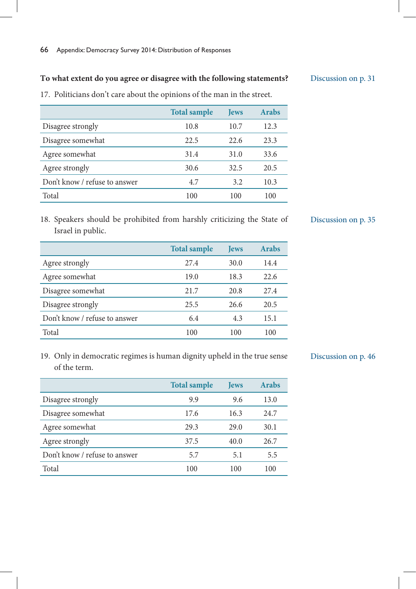### **To what extent do you agree or disagree with the following statements?**

17. Politicians don't care about the opinions of the man in the street.

|                               | <b>Total sample</b> | <b>Jews</b> | <b>Arabs</b> |
|-------------------------------|---------------------|-------------|--------------|
| Disagree strongly             | 10.8                | 10.7        | 12.3         |
| Disagree somewhat             | 22.5                | 22.6        | 23.3         |
| Agree somewhat                | 31.4                | 31.0        | 33.6         |
| Agree strongly                | 30.6                | 32.5        | 20.5         |
| Don't know / refuse to answer | 4.7                 | 3.2         | 10.3         |
| Total                         | 100                 | 100         | 100          |

18. Speakers should be prohibited from harshly criticizing the State of Israel in public.

|                               | <b>Total sample</b> | <b>Jews</b> | <b>Arabs</b> |
|-------------------------------|---------------------|-------------|--------------|
| Agree strongly                | 27.4                | 30.0        | 14.4         |
| Agree somewhat                | 19.0                | 18.3        | 22.6         |
| Disagree somewhat             | 21.7                | 20.8        | 27.4         |
| Disagree strongly             | 25.5                | 26.6        | 20.5         |
| Don't know / refuse to answer | 6.4                 | 4.3         | 15.1         |
| Total                         | 100                 | 100         | 100          |

19. Only in democratic regimes is human dignity upheld in the true sense of the term.

Discussion on p. 46

|                               | <b>Total sample</b> | <b>Tews</b> | <b>Arabs</b> |
|-------------------------------|---------------------|-------------|--------------|
| Disagree strongly             | 9.9                 | 9.6         | 13.0         |
| Disagree somewhat             | 17.6                | 16.3        | 24.7         |
| Agree somewhat                | 29.3                | 29.0        | 30.1         |
| Agree strongly                | 37.5                | 40.0        | 26.7         |
| Don't know / refuse to answer | 5.7                 | 5.1         | 5.5          |
| Total                         | 100                 | 100         | 100          |

Discussion on p. 31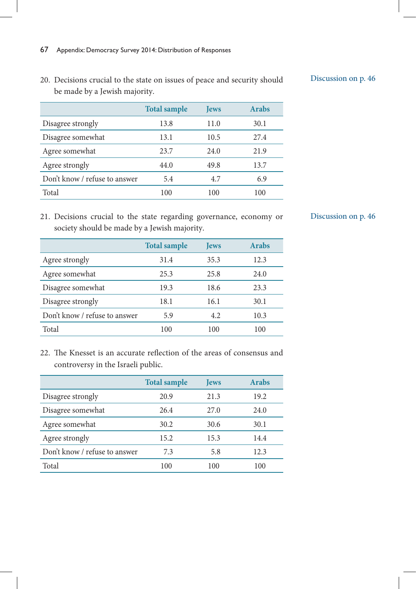20. Decisions crucial to the state on issues of peace and security should be made by a Jewish majority.

|                               | <b>Total sample</b> | <b>Jews</b> | <b>Arabs</b> |
|-------------------------------|---------------------|-------------|--------------|
| Disagree strongly             | 13.8                | 11.0        | 30.1         |
| Disagree somewhat             | 13.1                | 10.5        | 27.4         |
| Agree somewhat                | 23.7                | 24.0        | 21.9         |
| Agree strongly                | 44.0                | 49.8        | 13.7         |
| Don't know / refuse to answer | 5.4                 | 4.7         | 6.9          |
| Total                         | 100                 | 100         | 100          |

21. Decisions crucial to the state regarding governance, economy or society should be made by a Jewish majority.

|                               | <b>Total sample</b> | <b>Jews</b> | <b>Arabs</b> |
|-------------------------------|---------------------|-------------|--------------|
| Agree strongly                | 31.4                | 35.3        | 12.3         |
| Agree somewhat                | 25.3                | 25.8        | 24.0         |
| Disagree somewhat             | 19.3                | 18.6        | 23.3         |
| Disagree strongly             | 18.1                | 16.1        | 30.1         |
| Don't know / refuse to answer | 5.9                 | 4.2         | 10.3         |
| Total                         | 100                 | 100         | 100          |

22. The Knesset is an accurate reflection of the areas of consensus and controversy in the Israeli public.

|                               | <b>Total sample</b> | <b>Jews</b> | <b>Arabs</b> |
|-------------------------------|---------------------|-------------|--------------|
| Disagree strongly             | 20.9                | 21.3        | 19.2         |
| Disagree somewhat             | 26.4                | 27.0        | 24.0         |
| Agree somewhat                | 30.2                | 30.6        | 30.1         |
| Agree strongly                | 15.2                | 15.3        | 14.4         |
| Don't know / refuse to answer | 7.3                 | 5.8         | 12.3         |
| Total                         | 100                 | 100         | 100          |

Discussion on p. 46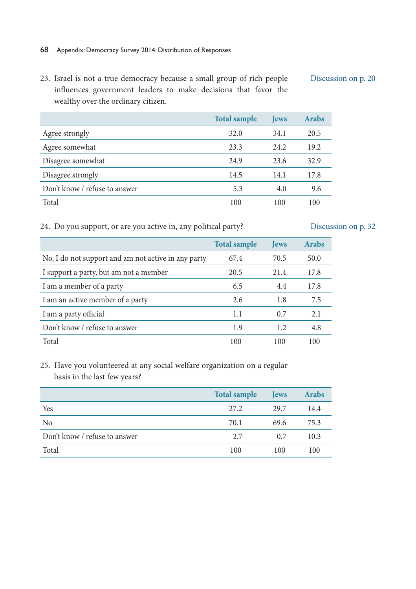23. Israel is not a true democracy because a small group of rich people influences government leaders to make decisions that favor the wealthy over the ordinary citizen.

|                               | <b>Total sample</b> | <b>Jews</b> | <b>Arabs</b> |
|-------------------------------|---------------------|-------------|--------------|
| Agree strongly                | 32.0                | 34.1        | 20.5         |
| Agree somewhat                | 23.3                | 24.2        | 19.2         |
| Disagree somewhat             | 24.9                | 23.6        | 32.9         |
| Disagree strongly             | 14.5                | 14.1        | 17.8         |
| Don't know / refuse to answer | 5.3                 | 4.0         | 9.6          |
| Total                         | 100                 | 100         | 100          |

24. Do you support, or are you active in, any political party?

# Discussion on p. 32

|                                                     | <b>Total sample</b> | <b>Jews</b> | <b>Arabs</b> |
|-----------------------------------------------------|---------------------|-------------|--------------|
| No, I do not support and am not active in any party | 67.4                | 70.5        | 50.0         |
| I support a party, but am not a member              | 20.5                | 21.4        | 17.8         |
| I am a member of a party                            | 6.5                 | 4.4         | 17.8         |
| I am an active member of a party                    | 2.6                 | 1.8         | 7.5          |
| I am a party official                               | 1.1                 | 0.7         | 2.1          |
| Don't know / refuse to answer                       | 1.9                 | 1.2         | 4.8          |
| Total                                               | 100                 | 100         | 100          |

25. Have you volunteered at any social welfare organization on a regular basis in the last few years?

|                               | <b>Total sample</b> | <b>Jews</b> | <b>Arabs</b> |
|-------------------------------|---------------------|-------------|--------------|
| Yes                           | 27.2                | 29.7        | 14.4         |
| No                            | 70.1                | 69.6        | 75.3         |
| Don't know / refuse to answer | 2.7                 | 0.7         | 10.3         |
| Total                         | 100                 | 100         | 100          |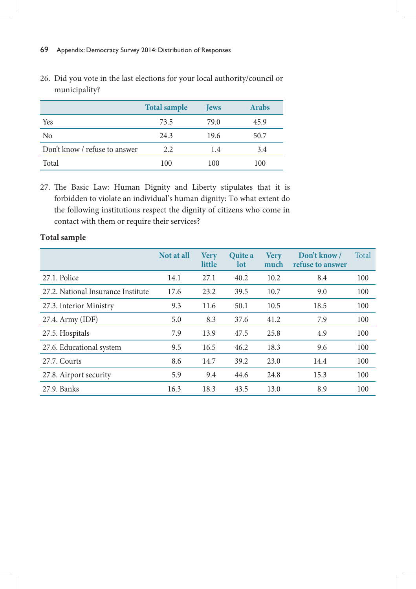|                               | <b>Total sample</b> | <b>Jews</b> | <b>Arabs</b> |
|-------------------------------|---------------------|-------------|--------------|
| Yes                           | 73.5                | 79.0        | 45.9         |
| No                            | 24.3                | 19.6        | 50.7         |
| Don't know / refuse to answer | 2.2                 | 1.4         | 3.4          |
| Total                         | 100                 | 100         | 100          |

26. Did you vote in the last elections for your local authority/council or municipality?

27. The Basic Law: Human Dignity and Liberty stipulates that it is forbidden to violate an individual's human dignity: To what extent do the following institutions respect the dignity of citizens who come in contact with them or require their services?

|                                    | Not at all | <b>Very</b><br>little | <b>Ouite a</b><br>lot | <b>Very</b><br>much | Don't know /<br>refuse to answer | Total |
|------------------------------------|------------|-----------------------|-----------------------|---------------------|----------------------------------|-------|
| 27.1. Police                       | 14.1       | 27.1                  | 40.2                  | 10.2                | 8.4                              | 100   |
| 27.2. National Insurance Institute | 17.6       | 23.2                  | 39.5                  | 10.7                | 9.0                              | 100   |
| 27.3. Interior Ministry            | 9.3        | 11.6                  | 50.1                  | 10.5                | 18.5                             | 100   |
| 27.4. Army (IDF)                   | 5.0        | 8.3                   | 37.6                  | 41.2                | 7.9                              | 100   |
| 27.5. Hospitals                    | 7.9        | 13.9                  | 47.5                  | 25.8                | 4.9                              | 100   |
| 27.6. Educational system           | 9.5        | 16.5                  | 46.2                  | 18.3                | 9.6                              | 100   |
| 27.7. Courts                       | 8.6        | 14.7                  | 39.2                  | 23.0                | 14.4                             | 100   |
| 27.8. Airport security             | 5.9        | 9.4                   | 44.6                  | 24.8                | 15.3                             | 100   |
| 27.9. Banks                        | 16.3       | 18.3                  | 43.5                  | 13.0                | 8.9                              | 100   |

### **Total sample**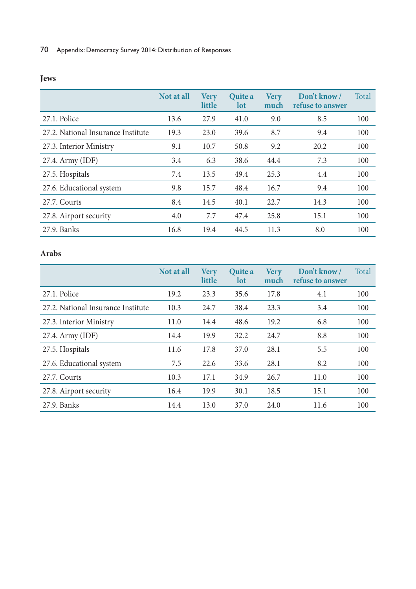|                                    | Not at all | <b>Very</b><br>little | <b>Ouite a</b><br>lot | <b>Very</b><br>much | Don't know /<br>refuse to answer | Total |
|------------------------------------|------------|-----------------------|-----------------------|---------------------|----------------------------------|-------|
| 27.1. Police                       | 13.6       | 27.9                  | 41.0                  | 9.0                 | 8.5                              | 100   |
| 27.2. National Insurance Institute | 19.3       | 23.0                  | 39.6                  | 8.7                 | 9.4                              | 100   |
| 27.3. Interior Ministry            | 9.1        | 10.7                  | 50.8                  | 9.2                 | 20.2                             | 100   |
| 27.4. Army (IDF)                   | 3.4        | 6.3                   | 38.6                  | 44.4                | 7.3                              | 100   |
| 27.5. Hospitals                    | 7.4        | 13.5                  | 49.4                  | 25.3                | 4.4                              | 100   |
| 27.6. Educational system           | 9.8        | 15.7                  | 48.4                  | 16.7                | 9.4                              | 100   |
| 27.7. Courts                       | 8.4        | 14.5                  | 40.1                  | 22.7                | 14.3                             | 100   |
| 27.8. Airport security             | 4.0        | 7.7                   | 47.4                  | 25.8                | 15.1                             | 100   |
| 27.9. Banks                        | 16.8       | 19.4                  | 44.5                  | 11.3                | 8.0                              | 100   |

### **Arabs**

|                                    | Not at all | <b>Very</b><br>little | <b>Ouite a</b><br>lot | <b>Very</b><br>much | Don't know /<br>refuse to answer | Total |
|------------------------------------|------------|-----------------------|-----------------------|---------------------|----------------------------------|-------|
| 27.1. Police                       | 19.2       | 23.3                  | 35.6                  | 17.8                | 4.1                              | 100   |
| 27.2. National Insurance Institute | 10.3       | 24.7                  | 38.4                  | 23.3                | 3.4                              | 100   |
| 27.3. Interior Ministry            | 11.0       | 14.4                  | 48.6                  | 19.2                | 6.8                              | 100   |
| 27.4. Army (IDF)                   | 14.4       | 19.9                  | 32.2                  | 24.7                | 8.8                              | 100   |
| 27.5. Hospitals                    | 11.6       | 17.8                  | 37.0                  | 28.1                | 5.5                              | 100   |
| 27.6. Educational system           | 7.5        | 22.6                  | 33.6                  | 28.1                | 8.2                              | 100   |
| 27.7. Courts                       | 10.3       | 17.1                  | 34.9                  | 26.7                | 11.0                             | 100   |
| 27.8. Airport security             | 16.4       | 19.9                  | 30.1                  | 18.5                | 15.1                             | 100   |
| 27.9. Banks                        | 14.4       | 13.0                  | 37.0                  | 24.0                | 11.6                             | 100   |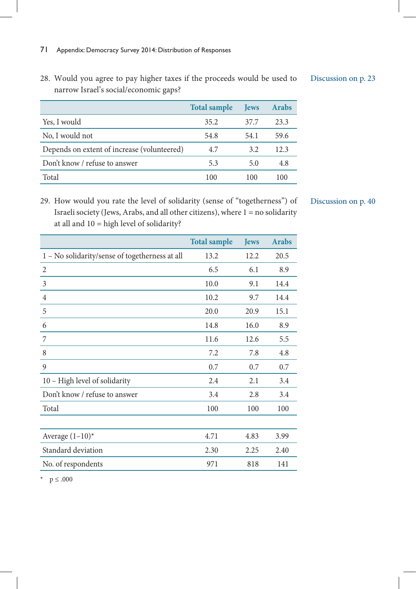narrow Israel's social/economic gaps? **Total sample Jews Arabs** Yes, I would 35.2 37.7 23.3 No, I would not 54.8 54.1 59.6 Depends on extent of increase (volunteered) 4.7 3.2 12.3 Don't know / refuse to answer 5.3 5.0 4.8 Total 100 100 100

28. Would you agree to pay higher taxes if the proceeds would be used to

29. How would you rate the level of solidarity (sense of "togetherness") of Israeli society (Jews, Arabs, and all other citizens), where 1 = no solidarity at all and 10 = high level of solidarity?

|                                                | <b>Total sample</b> | <b>Jews</b> | <b>Arabs</b> |
|------------------------------------------------|---------------------|-------------|--------------|
| 1 - No solidarity/sense of togetherness at all | 13.2                | 12.2        | 20.5         |
| $\overline{2}$                                 | 6.5                 | 6.1         | 8.9          |
| 3                                              | 10.0                | 9.1         | 14.4         |
| 4                                              | 10.2                | 9.7         | 14.4         |
| 5                                              | 20.0                | 20.9        | 15.1         |
| 6                                              | 14.8                | 16.0        | 8.9          |
| 7                                              | 11.6                | 12.6        | 5.5          |
| 8                                              | 7.2                 | 7.8         | 4.8          |
| 9                                              | 0.7                 | 0.7         | 0.7          |
| 10 - High level of solidarity                  | 2.4                 | 2.1         | 3.4          |
| Don't know / refuse to answer                  | 3.4                 | 2.8         | 3.4          |
| Total                                          | 100                 | 100         | 100          |
|                                                |                     |             |              |
| Average $(1-10)^*$                             | 4.71                | 4.83        | 3.99         |
| Standard deviation                             | 2.30                | 2.25        | 2.40         |
| No. of respondents                             | 971                 | 818         | 141          |

### Discussion on p. 40

\* p ≤ .000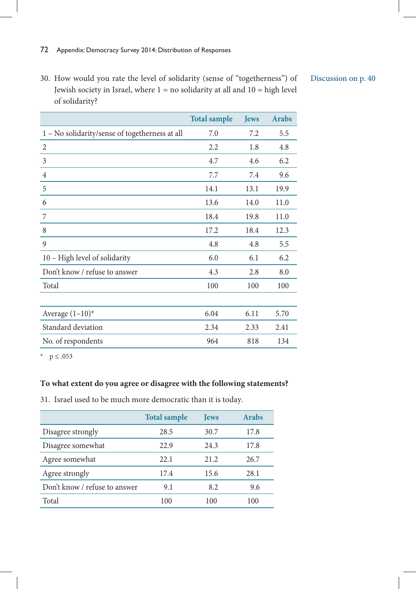30. How would you rate the level of solidarity (sense of "togetherness") of Jewish society in Israel, where  $1 = no$  solidarity at all and  $10 = high$  level of solidarity?

| Discussion on p. 40 |  |
|---------------------|--|
|---------------------|--|

|                                                | <b>Total sample</b> | <b>Jews</b> | <b>Arabs</b> |
|------------------------------------------------|---------------------|-------------|--------------|
| 1 - No solidarity/sense of togetherness at all | 7.0                 | 7.2         | 5.5          |
| 2                                              | 2.2                 | 1.8         | 4.8          |
| 3                                              | 4.7                 | 4.6         | 6.2          |
| 4                                              | 7.7                 | 7.4         | 9.6          |
| 5                                              | 14.1                | 13.1        | 19.9         |
| 6                                              | 13.6                | 14.0        | 11.0         |
| 7                                              | 18.4                | 19.8        | 11.0         |
| 8                                              | 17.2                | 18.4        | 12.3         |
| 9                                              | 4.8                 | 4.8         | 5.5          |
| 10 - High level of solidarity                  | 6.0                 | 6.1         | 6.2          |
| Don't know / refuse to answer                  | 4.3                 | 2.8         | 8.0          |
| Total                                          | 100                 | 100         | 100          |
|                                                |                     |             |              |
| Average $(1-10)^*$                             | 6.04                | 6.11        | 5.70         |
| Standard deviation                             | 2.34                | 2.33        | 2.41         |
| No. of respondents                             | 964                 | 818         | 134          |

\*  $p \le .053$ 

#### **To what extent do you agree or disagree with the following statements?**

31. Israel used to be much more democratic than it is today.

|                               | <b>Total sample</b> | <b>Jews</b> | <b>Arabs</b> |
|-------------------------------|---------------------|-------------|--------------|
| Disagree strongly             | 28.5                | 30.7        | 17.8         |
| Disagree somewhat             | 22.9                | 24.3        | 17.8         |
| Agree somewhat                | 22.1                | 21.2        | 26.7         |
| Agree strongly                | 17.4                | 15.6        | 28.1         |
| Don't know / refuse to answer | 9.1                 | 8.2         | 9.6          |
| Total                         | 100                 | 100         | 100          |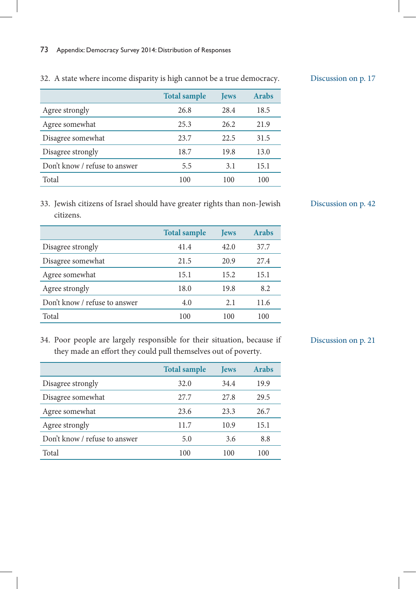|                               | <b>Total sample</b> | <b>Jews</b> | <b>Arabs</b> |
|-------------------------------|---------------------|-------------|--------------|
| Agree strongly                | 26.8                | 28.4        | 18.5         |
| Agree somewhat                | 25.3                | 26.2        | 21.9         |
| Disagree somewhat             | 23.7                | 22.5        | 31.5         |
| Disagree strongly             | 18.7                | 19.8        | 13.0         |
| Don't know / refuse to answer | 5.5                 | 3.1         | 15.1         |
| Total                         | 100                 | 100         | 100          |

32. A state where income disparity is high cannot be a true democracy.

33. Jewish citizens of Israel should have greater rights than non-Jewish citizens.

|                               | <b>Total sample</b> | <b>Jews</b> | <b>Arabs</b> |
|-------------------------------|---------------------|-------------|--------------|
| Disagree strongly             | 41.4                | 42.0        | 37.7         |
| Disagree somewhat             | 21.5                | 20.9        | 27.4         |
| Agree somewhat                | 15.1                | 15.2        | 15.1         |
| Agree strongly                | 18.0                | 19.8        | 8.2          |
| Don't know / refuse to answer | 4.0                 | 2.1         | 11.6         |
| Total                         | 100                 | 100         | 100          |
|                               |                     |             |              |

### Discussion on p. 42

34. Poor people are largely responsible for their situation, because if they made an effort they could pull themselves out of poverty.

|                               | <b>Total sample</b> | <b>Jews</b> | <b>Arabs</b> |
|-------------------------------|---------------------|-------------|--------------|
| Disagree strongly             | 32.0                | 34.4        | 19.9         |
| Disagree somewhat             | 27.7                | 27.8        | 29.5         |
| Agree somewhat                | 23.6                | 23.3        | 26.7         |
| Agree strongly                | 11.7                | 10.9        | 15.1         |
| Don't know / refuse to answer | 5.0                 | 3.6         | 8.8          |
| Total                         | 100                 | 100         | 100          |

# Discussion on p. 21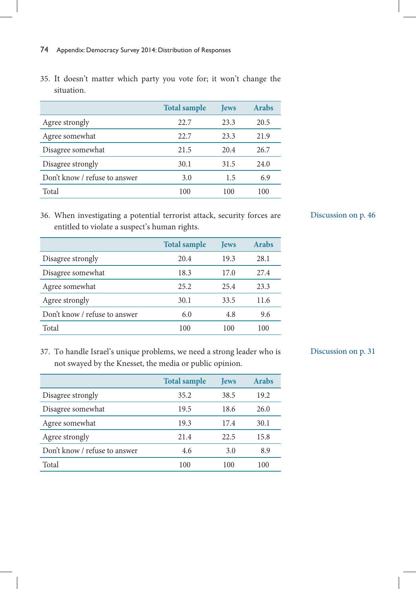35. It doesn't matter which party you vote for; it won't change the situation.

|                               | <b>Total sample</b> | <b>Jews</b> | <b>Arabs</b> |
|-------------------------------|---------------------|-------------|--------------|
| Agree strongly                | 22.7                | 23.3        | 20.5         |
| Agree somewhat                | 22.7                | 23.3        | 21.9         |
| Disagree somewhat             | 21.5                | 20.4        | 26.7         |
| Disagree strongly             | 30.1                | 31.5        | 24.0         |
| Don't know / refuse to answer | 3.0                 | 1.5         | 6.9          |
| Total                         | 100                 | 100         | 100          |

36. When investigating a potential terrorist attack, security forces are entitled to violate a suspect's human rights.

|                               | <b>Total sample</b> | <b>Jews</b> | <b>Arabs</b> |
|-------------------------------|---------------------|-------------|--------------|
| Disagree strongly             | 20.4                | 19.3        | 28.1         |
| Disagree somewhat             | 18.3                | 17.0        | 27.4         |
| Agree somewhat                | 25.2                | 25.4        | 23.3         |
| Agree strongly                | 30.1                | 33.5        | 11.6         |
| Don't know / refuse to answer | 6.0                 | 4.8         | 9.6          |
| Total                         | 100                 | 100         | 100          |

# Discussion on p. 46

37. To handle Israel's unique problems, we need a strong leader who is not swayed by the Knesset, the media or public opinion.

|                               | <b>Total sample</b> | <b>Jews</b> | <b>Arabs</b> |
|-------------------------------|---------------------|-------------|--------------|
| Disagree strongly             | 35.2                | 38.5        | 19.2         |
| Disagree somewhat             | 19.5                | 18.6        | 26.0         |
| Agree somewhat                | 19.3                | 17.4        | 30.1         |
| Agree strongly                | 21.4                | 22.5        | 15.8         |
| Don't know / refuse to answer | 4.6                 | 3.0         | 8.9          |
| Total                         | 100                 | 100         | 100          |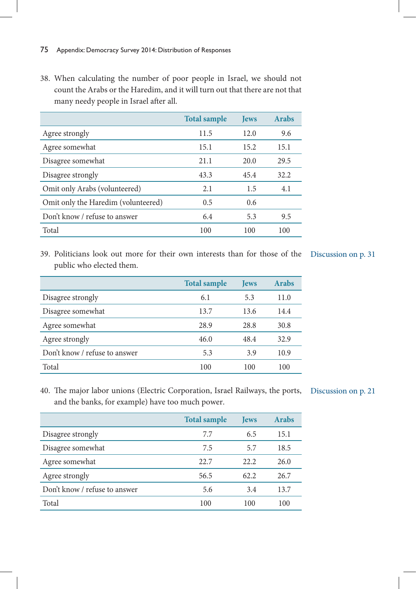38. When calculating the number of poor people in Israel, we should not count the Arabs or the Haredim, and it will turn out that there are not that many needy people in Israel after all.

|                                     | <b>Total sample</b> | <b>Jews</b> | <b>Arabs</b> |
|-------------------------------------|---------------------|-------------|--------------|
| Agree strongly                      | 11.5                | 12.0        | 9.6          |
| Agree somewhat                      | 15.1                | 15.2        | 15.1         |
| Disagree somewhat                   | 21.1                | 20.0        | 29.5         |
| Disagree strongly                   | 43.3                | 45.4        | 32.2         |
| Omit only Arabs (volunteered)       | 2.1                 | 1.5         | 4.1          |
| Omit only the Haredim (volunteered) | 0.5                 | 0.6         |              |
| Don't know / refuse to answer       | 6.4                 | 5.3         | 9.5          |
| Total                               | 100                 | 100         | 100          |

39. Politicians look out more for their own interests than for those of the Discussion on p. 31 public who elected them.

|                               | <b>Total sample</b> | <b>Jews</b> | <b>Arabs</b> |
|-------------------------------|---------------------|-------------|--------------|
| Disagree strongly             | 6.1                 | 5.3         | 11.0         |
| Disagree somewhat             | 13.7                | 13.6        | 14.4         |
| Agree somewhat                | 28.9                | 28.8        | 30.8         |
| Agree strongly                | 46.0                | 48.4        | 32.9         |
| Don't know / refuse to answer | 5.3                 | 3.9         | 10.9         |
| Total                         | 100                 | 100         | 100          |

40. The major labor unions (Electric Corporation, Israel Railways, the ports, Discussion on p. 21and the banks, for example) have too much power.

|                               | <b>Total sample</b> | <b>Jews</b> | <b>Arabs</b> |
|-------------------------------|---------------------|-------------|--------------|
| Disagree strongly             | 7.7                 | 6.5         | 15.1         |
| Disagree somewhat             | 7.5                 | 5.7         | 18.5         |
| Agree somewhat                | 22.7                | 22.2        | 26.0         |
| Agree strongly                | 56.5                | 62.2        | 26.7         |
| Don't know / refuse to answer | 5.6                 | 3.4         | 13.7         |
| Total                         | 100                 | 100         | 100          |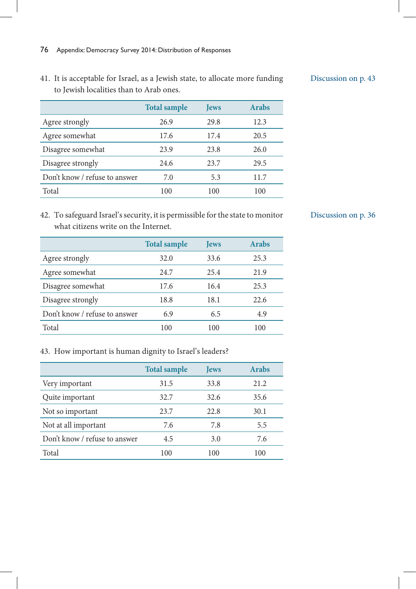41. It is acceptable for Israel, as a Jewish state, to allocate more funding to Jewish localities than to Arab ones.

|                               | <b>Total sample</b> | <b>Jews</b> | <b>Arabs</b> |
|-------------------------------|---------------------|-------------|--------------|
| Agree strongly                | 26.9                | 29.8        | 12.3         |
| Agree somewhat                | 17.6                | 17.4        | 20.5         |
| Disagree somewhat             | 23.9                | 23.8        | 26.0         |
| Disagree strongly             | 24.6                | 23.7        | 29.5         |
| Don't know / refuse to answer | 7.0                 | 5.3         | 11.7         |
| Total                         | 100                 | 100         | 100          |

42. To safeguard Israel's security, it is permissible for the state to monitor what citizens write on the Internet.

|                               | <b>Total sample</b> | <b>Jews</b> | <b>Arabs</b> |
|-------------------------------|---------------------|-------------|--------------|
| Agree strongly                | 32.0                | 33.6        | 25.3         |
| Agree somewhat                | 24.7                | 25.4        | 21.9         |
| Disagree somewhat             | 17.6                | 16.4        | 25.3         |
| Disagree strongly             | 18.8                | 18.1        | 22.6         |
| Don't know / refuse to answer | 6.9                 | 6.5         | 4.9          |
| Total                         | 100                 | 100         | 100          |

# 43. How important is human dignity to Israel's leaders?

|                               | <b>Total sample</b> | <b>Jews</b> | <b>Arabs</b> |
|-------------------------------|---------------------|-------------|--------------|
| Very important                | 31.5                | 33.8        | 21.2         |
| Quite important               | 32.7                | 32.6        | 35.6         |
| Not so important              | 23.7                | 22.8        | 30.1         |
| Not at all important          | 7.6                 | 7.8         | 5.5          |
| Don't know / refuse to answer | 4.5                 | 3.0         | 7.6          |
| Total                         | 100                 | 100         | 100          |
|                               |                     |             |              |

#### Discussion on p. 36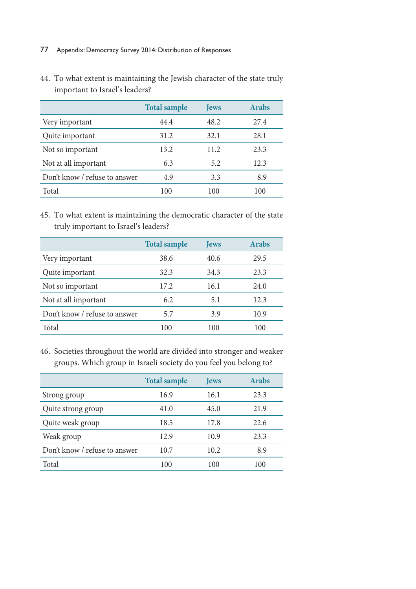|                               | <b>Total sample</b> | <b>Jews</b> | <b>Arabs</b> |
|-------------------------------|---------------------|-------------|--------------|
| Very important                | 44.4                | 48.2        | 27.4         |
| Quite important               | 31.2                | 32.1        | 28.1         |
| Not so important              | 13.2                | 11.2        | 23.3         |
| Not at all important          | 6.3                 | 5.2         | 12.3         |
| Don't know / refuse to answer | 4.9                 | 3.3         | 8.9          |
| Total                         | 100                 | 100         | 100          |

44. To what extent is maintaining the Jewish character of the state truly important to Israel's leaders?

45. To what extent is maintaining the democratic character of the state truly important to Israel's leaders?

|                               | <b>Total sample</b> | <b>Jews</b> | <b>Arabs</b> |
|-------------------------------|---------------------|-------------|--------------|
| Very important                | 38.6                | 40.6        | 29.5         |
| Quite important               | 32.3                | 34.3        | 23.3         |
| Not so important              | 17.2                | 16.1        | 24.0         |
| Not at all important          | 6.2                 | 5.1         | 12.3         |
| Don't know / refuse to answer | 5.7                 | 3.9         | 10.9         |
| Total                         | 100                 | 100         | 100          |

46. Societies throughout the world are divided into stronger and weaker groups. Which group in Israeli society do you feel you belong to?

|                               | <b>Total sample</b> | <b>Jews</b> | <b>Arabs</b> |
|-------------------------------|---------------------|-------------|--------------|
| Strong group                  | 16.9                | 16.1        | 23.3         |
| Quite strong group            | 41.0                | 45.0        | 21.9         |
| Quite weak group              | 18.5                | 17.8        | 22.6         |
| Weak group                    | 12.9                | 10.9        | 23.3         |
| Don't know / refuse to answer | 10.7                | 10.2        | 8.9          |
| Total                         | 100                 | 100         | 100          |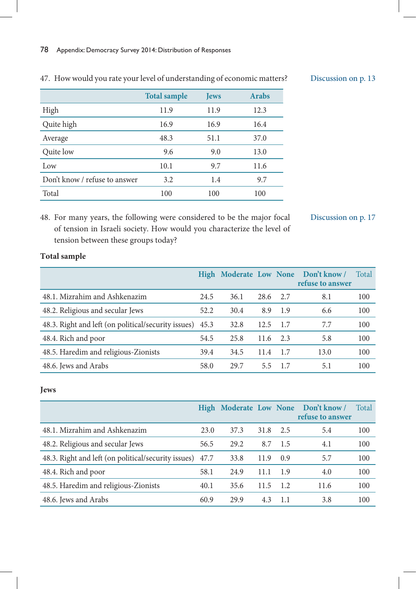|                               | <b>Total sample</b> | <b>Jews</b> | <b>Arabs</b> |
|-------------------------------|---------------------|-------------|--------------|
| High                          | 11.9                | 11.9        | 12.3         |
| Quite high                    | 16.9                | 16.9        | 16.4         |
| Average                       | 48.3                | 51.1        | 37.0         |
| Quite low                     | 9.6                 | 9.0         | 13.0         |
| Low                           | 10.1                | 9.7         | 11.6         |
| Don't know / refuse to answer | 3.2                 | 1.4         | 9.7          |
| Total                         | 100                 | 100         | 100          |

# 47. How would you rate your level of understanding of economic matters?

### Discussion on p. 13

48. For many years, the following were considered to be the major focal of tension in Israeli society. How would you characterize the level of tension between these groups today?

Discussion on p. 17

# **Total sample**

|                                                          |      |      |      |       | High Moderate Low None Don't know/<br>refuse to answer | Total |
|----------------------------------------------------------|------|------|------|-------|--------------------------------------------------------|-------|
| 48.1. Mizrahim and Ashkenazim                            | 24.5 | 36.1 | 28.6 | 2.7   | 8.1                                                    | 100   |
| 48.2. Religious and secular Jews                         | 52.2 | 30.4 | 8.9  | 1.9   | 6.6                                                    | 100   |
| 48.3. Right and left (on political/security issues) 45.3 |      | 32.8 | 12.5 | - 1.7 | 7.7                                                    | 100   |
| 48.4. Rich and poor                                      | 54.5 | 25.8 | 11.6 | 2.3   | 5.8                                                    | 100   |
| 48.5. Haredim and religious-Zionists                     | 39.4 | 34.5 | 11.4 | - 1.7 | 13.0                                                   | 100   |
| 48.6. Jews and Arabs                                     | 58.0 | 29.7 | 5.5  | 17    | 5.1                                                    | 100   |

#### **Jews**

|                                                          |      |      |      |      | High Moderate Low None Don't know /<br>refuse to answer | Total |
|----------------------------------------------------------|------|------|------|------|---------------------------------------------------------|-------|
| 48.1. Mizrahim and Ashkenazim                            | 23.0 | 37.3 | 31.8 | 2.5  | 5.4                                                     | 100   |
| 48.2. Religious and secular Jews                         | 56.5 | 29.2 | 8.7  | -1.5 | 4.1                                                     | 100   |
| 48.3. Right and left (on political/security issues) 47.7 |      | 33.8 | 11.9 | 0.9  | 5.7                                                     | 100   |
| 48.4. Rich and poor                                      | 58.1 | 24.9 | 11.1 | 1.9  | 4.0                                                     | 100   |
| 48.5. Haredim and religious-Zionists                     | 40.1 | 35.6 | 11.5 | 1.2  | 11.6                                                    | 100   |
| 48.6. Jews and Arabs                                     | 60.9 | 29.9 | 4.3  | 1.1  | 3.8                                                     | 100   |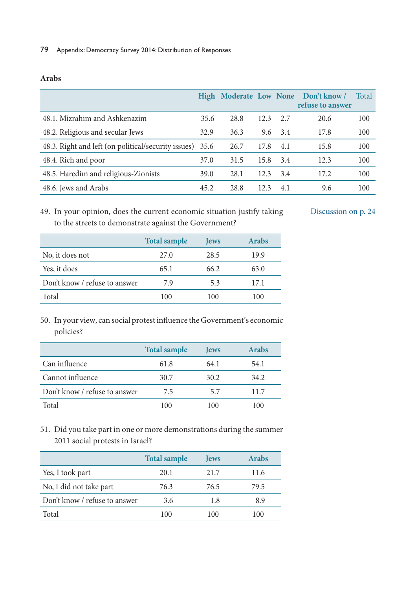|                                                          |      |      |      |     | High Moderate Low None Don't know/<br>refuse to answer | Total |
|----------------------------------------------------------|------|------|------|-----|--------------------------------------------------------|-------|
| 48.1. Mizrahim and Ashkenazim                            | 35.6 | 28.8 | 12.3 | 2.7 | 20.6                                                   | 100   |
| 48.2. Religious and secular Jews                         | 32.9 | 36.3 | 9.6  | 3.4 | 17.8                                                   | 100   |
| 48.3. Right and left (on political/security issues) 35.6 |      | 26.7 | 17.8 | 4.1 | 15.8                                                   | 100   |
| 48.4. Rich and poor                                      | 37.0 | 31.5 | 15.8 | 3.4 | 12.3                                                   | 100   |
| 48.5. Haredim and religious-Zionists                     | 39.0 | 28.1 | 12.3 | 3.4 | 17.2                                                   | 100   |
| 48.6. Jews and Arabs                                     | 45.2 | 28.8 | 12.3 | 4.1 | 9.6                                                    | 100   |

#### **Arabs**

49. In your opinion, does the current economic situation justify taking to the streets to demonstrate against the Government?

Discussion on p. 24

|                               | <b>Total sample</b> | <b>Jews</b> | <b>Arabs</b> |
|-------------------------------|---------------------|-------------|--------------|
| No, it does not               | 27.0                | 28.5        | 19.9         |
| Yes, it does                  | 65.1                | 66.2        | 63.0         |
| Don't know / refuse to answer | 79                  | 5.3         | 17.1         |
| Total                         | 100                 | 100         | 100          |

50. In your view, can social protest influence the Government's economic policies?

|                               | <b>Total sample</b> | <b>T</b> ews | <b>Arabs</b> |
|-------------------------------|---------------------|--------------|--------------|
| Can influence                 | 61.8                | 64.1         | 54.1         |
| Cannot influence              | 30.7                | 30.2         | 34.2         |
| Don't know / refuse to answer | 7.5                 | 5.7          | 11.7         |
| Total                         | 100                 | 100          | 100          |

51. Did you take part in one or more demonstrations during the summer 2011 social protests in Israel?

|                               | <b>Total sample</b> | <b>Jews</b> | <b>Arabs</b> |
|-------------------------------|---------------------|-------------|--------------|
| Yes, I took part              | 20.1                | 21.7        | 11.6         |
| No, I did not take part       | 76.3                | 76.5        | 79.5         |
| Don't know / refuse to answer | 3.6                 | 1.8         | 8.9          |
| Total                         | 100                 | 100         | l ()()       |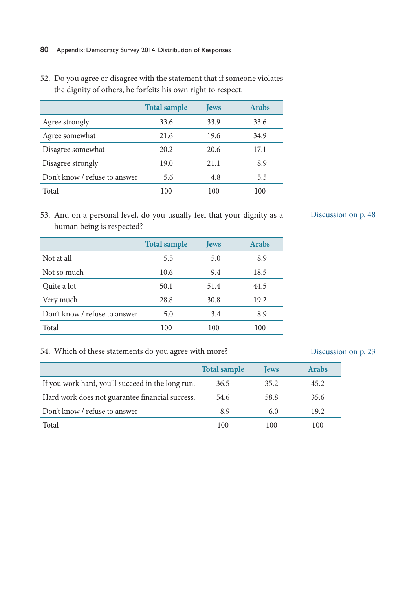- **Total sample Jews Arabs** Agree strongly 33.6 33.9 33.6 Agree somewhat 21.6 19.6 34.9 Disagree somewhat 20.2 20.6 17.1 Disagree strongly 19.0 21.1 8.9 Don't know / refuse to answer 5.6 4.8 5.5 Total 100 100 100
- 52. Do you agree or disagree with the statement that if someone violates the dignity of others, he forfeits his own right to respect.

53. And on a personal level, do you usually feel that your dignity as a human being is respected?

|                               | <b>Total sample</b> | <b>Jews</b> | <b>Arabs</b> |
|-------------------------------|---------------------|-------------|--------------|
| Not at all                    | 5.5                 | 5.0         | 8.9          |
| Not so much                   | 10.6                | 9.4         | 18.5         |
| Quite a lot                   | 50.1                | 51.4        | 44.5         |
| Very much                     | 28.8                | 30.8        | 19.2         |
| Don't know / refuse to answer | 5.0                 | 3.4         | 8.9          |
| Total                         | 100                 | 100         | 100          |

# 54. Which of these statements do you agree with more?

|                                                   | <b>Total sample</b> | <b>Tews</b> | <b>Arabs</b> |
|---------------------------------------------------|---------------------|-------------|--------------|
| If you work hard, you'll succeed in the long run. | 36.5                | 35.2        | 45.2         |
| Hard work does not guarantee financial success.   | 54.6                | 58.8        | 35.6         |
| Don't know / refuse to answer                     | 8.9                 | 6.0         | 19.2         |
| Total                                             | 100                 | 100         | 100          |

#### Discussion on p. 48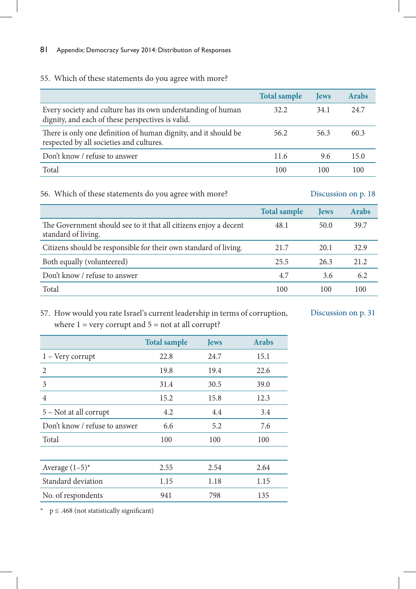# 55. Which of these statements do you agree with more?

|                                                                                                                   | <b>Total sample</b> | <b>Jews</b> | <b>Arabs</b> |
|-------------------------------------------------------------------------------------------------------------------|---------------------|-------------|--------------|
| Every society and culture has its own understanding of human<br>dignity, and each of these perspectives is valid. | 32.2                | 34.1        | 24.7         |
| There is only one definition of human dignity, and it should be<br>respected by all societies and cultures.       | 56.2                | 56.3        | 60.3         |
| Don't know / refuse to answer                                                                                     | 11.6                | 9.6         | 15.0         |
| Total                                                                                                             | 100                 | 100         | 100          |

# 56. Which of these statements do you agree with more?

### Discussion on p. 18

|                                                                                         | <b>Total sample</b> | <b>Jews</b> | Arabs |
|-----------------------------------------------------------------------------------------|---------------------|-------------|-------|
| The Government should see to it that all citizens enjoy a decent<br>standard of living. | 48.1                | 50.0        | 39.7  |
| Citizens should be responsible for their own standard of living.                        | 21.7                | 20.1        | 32.9  |
| Both equally (volunteered)                                                              | 25.5                | 26.3        | 21.2  |
| Don't know / refuse to answer                                                           | 4.7                 | 3.6         | 6.2   |
| Total                                                                                   | 100                 | 100         | 100   |

# 57. How would you rate Israel's current leadership in terms of corruption, where  $1 =$  very corrupt and  $5 =$  not at all corrupt?

Discussion on p. 31

|                               | <b>Total sample</b> | <b>Jews</b> | <b>Arabs</b> |
|-------------------------------|---------------------|-------------|--------------|
| $1 -$ Very corrupt            | 22.8                | 24.7        | 15.1         |
| $\mathfrak{D}$                | 19.8                | 19.4        | 22.6         |
| 3                             | 31.4                | 30.5        | 39.0         |
| $\overline{4}$                | 15.2                | 15.8        | 12.3         |
| 5 - Not at all corrupt        | 4.2                 | 4.4         | 3.4          |
| Don't know / refuse to answer | 6.6                 | 5.2         | 7.6          |
| Total                         | 100                 | 100         | 100          |
|                               |                     |             |              |
| Average $(1-5)^*$             | 2.55                | 2.54        | 2.64         |
| Standard deviation            | 1.15                | 1.18        | 1.15         |
| No. of respondents            | 941                 | 798         | 135          |

\* p ≤ .468 (not statistically significant)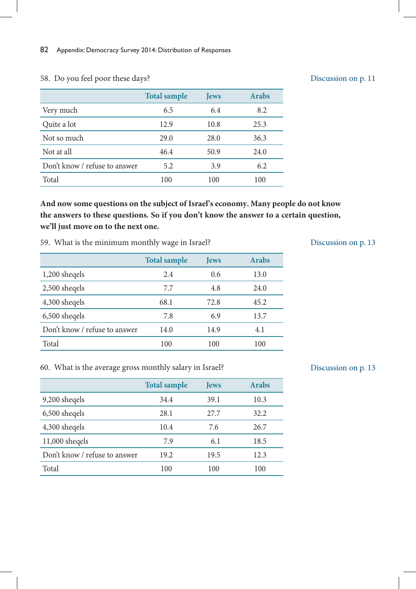|                               | <b>Total sample</b> | <b>Jews</b> | <b>Arabs</b> |
|-------------------------------|---------------------|-------------|--------------|
| Very much                     | 6.5                 | 6.4         | 8.2          |
| Quite a lot                   | 12.9                | 10.8        | 25.3         |
| Not so much                   | 29.0                | 28.0        | 36.3         |
| Not at all                    | 46.4                | 50.9        | 24.0         |
| Don't know / refuse to answer | 5.2                 | 3.9         | 6.2          |
| Total                         | 100                 | 100         | 100          |

#### 58. Do you feel poor these days?

**And now some questions on the subject of Israel's economy. Many people do not know the answers to these questions. So if you don't know the answer to a certain question, we'll just move on to the next one.**

59. What is the minimum monthly wage in Israel?

|                               | <b>Total sample</b> | <b>Jews</b> | <b>Arabs</b> |
|-------------------------------|---------------------|-------------|--------------|
| 1,200 sheqels                 | 2.4                 | 0.6         | 13.0         |
| 2,500 sheqels                 | 7.7                 | 4.8         | 24.0         |
| 4,300 sheqels                 | 68.1                | 72.8        | 45.2         |
| 6,500 sheqels                 | 7.8                 | 6.9         | 13.7         |
| Don't know / refuse to answer | 14.0                | 14.9        | 4.1          |
| Total                         | 100                 | 100         | 100          |

### Discussion on p. 13

Discussion on p. 11

#### 60. What is the average gross monthly salary in Israel?

|                               | <b>Total sample</b> | <b>Jews</b> | <b>Arabs</b> |
|-------------------------------|---------------------|-------------|--------------|
| 9,200 sheqels                 | 34.4                | 39.1        | 10.3         |
| 6,500 sheqels                 | 28.1                | 27.7        | 32.2         |
| 4,300 sheqels                 | 10.4                | 7.6         | 26.7         |
| $11,000$ sheqels              | 7.9                 | 6.1         | 18.5         |
| Don't know / refuse to answer | 19.2                | 19.5        | 12.3         |
| Total                         | 100                 | 100         | 100          |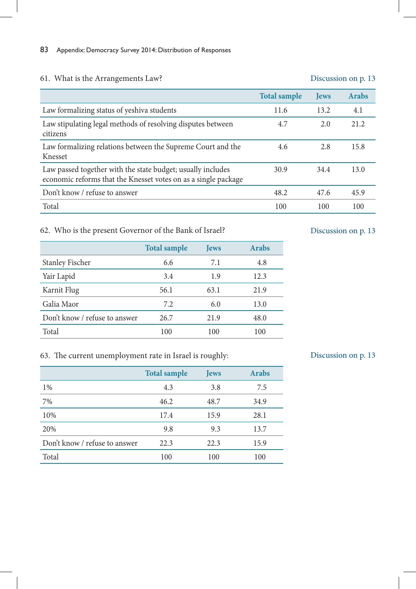# 61. What is the Arrangements Law?

#### Discussion on p. 13

|                                                                                                                               | <b>Total sample</b> | <b>Jews</b> | <b>Arabs</b> |
|-------------------------------------------------------------------------------------------------------------------------------|---------------------|-------------|--------------|
| Law formalizing status of yeshiva students                                                                                    | 11.6                | 13.2        | 4.1          |
| Law stipulating legal methods of resolving disputes between<br>citizens                                                       | 4.7                 | 2.0         | 21.2         |
| Law formalizing relations between the Supreme Court and the<br>Knesset                                                        | 4.6                 | 2.8         | 15.8         |
| Law passed together with the state budget; usually includes<br>economic reforms that the Knesset votes on as a single package | 30.9                | 34.4        | 13.0         |
| Don't know / refuse to answer                                                                                                 | 48.2                | 47.6        | 45.9         |
| Total                                                                                                                         | 100                 | 100         | 100          |

# 62. Who is the present Governor of the Bank of Israel?

|                               | <b>Total sample</b> | <b>Jews</b> | <b>Arabs</b> |
|-------------------------------|---------------------|-------------|--------------|
| <b>Stanley Fischer</b>        | 6.6                 | 7.1         | 4.8          |
| Yair Lapid                    | 3.4                 | 1.9         | 12.3         |
| Karnit Flug                   | 56.1                | 63.1        | 21.9         |
| Galia Maor                    | 7.2                 | 6.0         | 13.0         |
| Don't know / refuse to answer | 26.7                | 21.9        | 48.0         |
| Total                         | 100                 | 100         | 100          |

# Discussion on p. 13

# 63. The current unemployment rate in Israel is roughly:

|                               | <b>Total sample</b> | <b>Jews</b> | <b>Arabs</b> |
|-------------------------------|---------------------|-------------|--------------|
| $1\%$                         | 4.3                 | 3.8         | 7.5          |
| 7%                            | 46.2                | 48.7        | 34.9         |
| 10%                           | 17.4                | 15.9        | 28.1         |
| 20%                           | 9.8                 | 9.3         | 13.7         |
| Don't know / refuse to answer | 22.3                | 22.3        | 15.9         |
| Total                         | 100                 | 100         | 100          |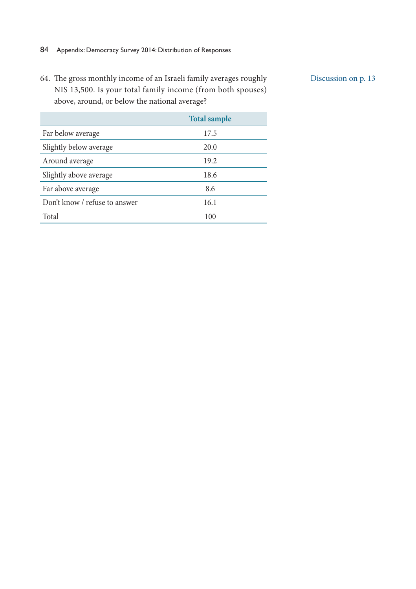64. The gross monthly income of an Israeli family averages roughly NIS 13,500. Is your total family income (from both spouses) above, around, or below the national average?

|                               | <b>Total sample</b> |
|-------------------------------|---------------------|
| Far below average             | 17.5                |
| Slightly below average        | 20.0                |
| Around average                | 19.2                |
| Slightly above average        | 18.6                |
| Far above average             | 8.6                 |
| Don't know / refuse to answer | 16.1                |
| Total                         | 100                 |